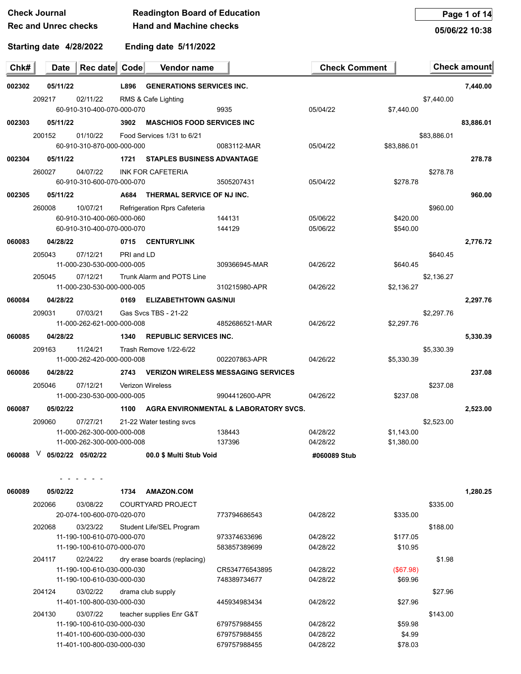| Check Journal               | <b>Readington Board of Education</b> |
|-----------------------------|--------------------------------------|
| <b>Rec and Unrec checks</b> | <b>Hand and Machine checks</b>       |

**Page 1 of 14**

**05/06/22 10:38**

| Chk#   | Date     | Rec date Code                          |            | Vendor name                       |                                            | <b>Check Comment</b> |             |             | Check amount |
|--------|----------|----------------------------------------|------------|-----------------------------------|--------------------------------------------|----------------------|-------------|-------------|--------------|
| 002302 | 05/11/22 |                                        | L896       | <b>GENERATIONS SERVICES INC.</b>  |                                            |                      |             |             | 7,440.00     |
|        | 209217   | 02/11/22                               |            | RMS & Cafe Lighting               |                                            |                      |             | \$7,440.00  |              |
|        |          | 60-910-310-400-070-000-070             |            |                                   | 9935                                       | 05/04/22             | \$7,440.00  |             |              |
| 002303 | 05/11/22 |                                        | 3902       | <b>MASCHIOS FOOD SERVICES INC</b> |                                            |                      |             |             | 83,886.01    |
|        | 200152   | 01/10/22                               |            | Food Services 1/31 to 6/21        |                                            |                      |             | \$83,886.01 |              |
|        |          | 60-910-310-870-000-000-000             |            |                                   | 0083112-MAR                                | 05/04/22             | \$83,886.01 |             |              |
| 002304 | 05/11/22 |                                        | 1721       | <b>STAPLES BUSINESS ADVANTAGE</b> |                                            |                      |             |             | 278.78       |
|        | 260027   | 04/07/22                               |            | INK FOR CAFETERIA                 |                                            |                      |             | \$278.78    |              |
|        |          | 60-910-310-600-070-000-070             |            |                                   | 3505207431                                 | 05/04/22             | \$278.78    |             |              |
| 002305 | 05/11/22 |                                        | A684       | THERMAL SERVICE OF NJ INC.        |                                            |                      |             |             | 960.00       |
|        | 260008   | 10/07/21                               |            | Refrigeration Rprs Cafeteria      |                                            |                      |             | \$960.00    |              |
|        |          | 60-910-310-400-060-000-060             |            |                                   | 144131                                     | 05/06/22             | \$420.00    |             |              |
|        |          | 60-910-310-400-070-000-070             |            |                                   | 144129                                     | 05/06/22             | \$540.00    |             |              |
| 060083 | 04/28/22 |                                        | 0715       | <b>CENTURYLINK</b>                |                                            |                      |             |             | 2,776.72     |
|        | 205043   | 07/12/21                               | PRI and LD |                                   |                                            |                      |             | \$640.45    |              |
|        |          | 11-000-230-530-000-000-005             |            |                                   | 309366945-MAR                              | 04/26/22             | \$640.45    |             |              |
|        | 205045   | 07/12/21                               |            | Trunk Alarm and POTS Line         |                                            |                      |             | \$2,136.27  |              |
|        |          | 11-000-230-530-000-000-005             |            |                                   | 310215980-APR                              | 04/26/22             | \$2,136.27  |             |              |
| 060084 | 04/28/22 |                                        | 0169       | <b>ELIZABETHTOWN GAS/NUI</b>      |                                            |                      |             |             | 2,297.76     |
|        | 209031   | 07/03/21                               |            | Gas Sycs TBS - 21-22              |                                            |                      |             | \$2,297.76  |              |
|        |          | 11-000-262-621-000-000-008             |            |                                   | 4852686521-MAR                             | 04/26/22             | \$2,297.76  |             |              |
| 060085 | 04/28/22 |                                        | 1340       | <b>REPUBLIC SERVICES INC.</b>     |                                            |                      |             |             | 5,330.39     |
|        | 209163   | 11/24/21                               |            | Trash Remove 1/22-6/22            |                                            |                      |             | \$5,330.39  |              |
|        |          | 11-000-262-420-000-000-008             |            |                                   | 002207863-APR                              | 04/26/22             | \$5,330.39  |             |              |
| 060086 | 04/28/22 |                                        | 2743       |                                   | <b>VERIZON WIRELESS MESSAGING SERVICES</b> |                      |             |             | 237.08       |
|        | 205046   | 07/12/21                               |            | <b>Verizon Wireless</b>           |                                            |                      |             | \$237.08    |              |
|        |          | 11-000-230-530-000-000-005             |            |                                   | 9904412600-APR                             | 04/26/22             | \$237.08    |             |              |
| 060087 | 05/02/22 |                                        | 1100       |                                   | AGRA ENVIRONMENTAL & LABORATORY SVCS.      |                      |             |             | 2,523.00     |
|        | 209060   |                                        |            |                                   |                                            |                      |             |             |              |
|        |          | 07/27/21<br>11-000-262-300-000-000-008 |            | 21-22 Water testing svcs          | 138443                                     | 04/28/22             | \$1,143.00  | \$2,523.00  |              |
|        |          | 11-000-262-300-000-000-008             |            |                                   | 137396                                     | 04/28/22             | \$1,380.00  |             |              |
| 060088 | V.       | 05/02/22 05/02/22                      |            | 00.0 \$ Multi Stub Void           |                                            | #060089 Stub         |             |             |              |
|        |          |                                        |            |                                   |                                            |                      |             |             |              |
|        |          |                                        |            |                                   |                                            |                      |             |             |              |
| 060089 | 05/02/22 |                                        | 1734       | <b>AMAZON.COM</b>                 |                                            |                      |             |             | 1,280.25     |
|        | 202066   | 03/08/22                               |            | <b>COURTYARD PROJECT</b>          |                                            |                      |             | \$335.00    |              |
|        |          | 20-074-100-600-070-020-070             |            |                                   | 773794686543                               | 04/28/22             | \$335.00    |             |              |
|        | 202068   | 03/23/22<br>11-190-100-610-070-000-070 |            | Student Life/SEL Program          | 973374633696                               | 04/28/22             | \$177.05    | \$188.00    |              |
|        |          | 11-190-100-610-070-000-070             |            |                                   | 583857389699                               | 04/28/22             | \$10.95     |             |              |
|        | 204117   | 02/24/22                               |            | dry erase boards (replacing)      |                                            |                      |             | \$1.98      |              |
|        |          | 11-190-100-610-030-000-030             |            |                                   | CR534776543895                             | 04/28/22             | (\$67.98)   |             |              |
|        |          | 11-190-100-610-030-000-030             |            |                                   | 748389734677                               | 04/28/22             | \$69.96     |             |              |
|        | 204124   | 03/02/22                               |            | drama club supply                 |                                            |                      |             | \$27.96     |              |
|        |          | 11-401-100-800-030-000-030             |            |                                   | 445934983434                               | 04/28/22             | \$27.96     |             |              |
|        | 204130   | 03/07/22                               |            | teacher supplies Enr G&T          |                                            |                      |             | \$143.00    |              |
|        |          | 11-190-100-610-030-000-030             |            |                                   | 679757988455                               | 04/28/22             | \$59.98     |             |              |
|        |          | 11-401-100-600-030-000-030             |            |                                   | 679757988455                               | 04/28/22             | \$4.99      |             |              |
|        |          | 11-401-100-800-030-000-030             |            |                                   | 679757988455                               | 04/28/22             | \$78.03     |             |              |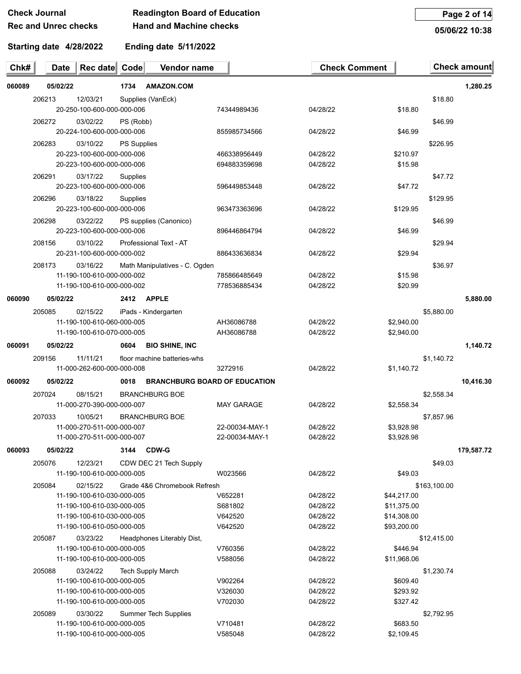## **Check Journal Readington Board of Education**

# **Hand and Machine checks**

**Page 2 of 14**

**05/06/22 10:38**

### **Starting date 4/28/2022**

**Rec and Unrec checks**

**Ending date 5/11/2022**

| Chk#   | <b>Date</b> | Rec date Code                                            |                    | Vendor name                          |                    | <b>Check Comment</b> |                            |              | <b>Check amount</b> |
|--------|-------------|----------------------------------------------------------|--------------------|--------------------------------------|--------------------|----------------------|----------------------------|--------------|---------------------|
| 060089 | 05/02/22    |                                                          | 1734               | <b>AMAZON.COM</b>                    |                    |                      |                            |              | 1,280.25            |
|        | 206213      | 12/03/21                                                 |                    | Supplies (VanEck)                    |                    |                      |                            | \$18.80      |                     |
|        |             | 20-250-100-600-000-000-006                               |                    |                                      | 74344989436        | 04/28/22             | \$18.80                    |              |                     |
|        | 206272      | 03/02/22                                                 | PS (Robb)          |                                      |                    |                      |                            | \$46.99      |                     |
|        |             | 20-224-100-600-000-000-006                               |                    |                                      | 855985734566       | 04/28/22             | \$46.99                    |              |                     |
|        | 206283      | 03/10/22<br>20-223-100-600-000-000-006                   | <b>PS Supplies</b> |                                      | 466338956449       | 04/28/22             | \$210.97                   | \$226.95     |                     |
|        |             | 20-223-100-600-000-000-006                               |                    |                                      | 694883359698       | 04/28/22             | \$15.98                    |              |                     |
|        | 206291      | 03/17/22                                                 | Supplies           |                                      |                    |                      |                            | \$47.72      |                     |
|        |             | 20-223-100-600-000-000-006                               |                    |                                      | 596449853448       | 04/28/22             | \$47.72                    |              |                     |
|        | 206296      | 03/18/22                                                 | Supplies           |                                      |                    |                      |                            | \$129.95     |                     |
|        |             | 20-223-100-600-000-000-006                               |                    |                                      | 963473363696       | 04/28/22             | \$129.95                   |              |                     |
|        | 206298      | 03/22/22                                                 |                    | PS supplies (Canonico)               |                    |                      |                            | \$46.99      |                     |
|        |             | 20-223-100-600-000-000-006                               |                    |                                      | 896446864794       | 04/28/22             | \$46.99                    |              |                     |
|        | 208156      | 03/10/22                                                 |                    | Professional Text - AT               |                    |                      |                            | \$29.94      |                     |
|        |             | 20-231-100-600-000-000-002                               |                    |                                      | 886433636834       | 04/28/22             | \$29.94                    |              |                     |
|        | 208173      | 03/16/22                                                 |                    | Math Manipulatives - C. Ogden        |                    |                      |                            | \$36.97      |                     |
|        |             | 11-190-100-610-000-000-002                               |                    |                                      | 785866485649       | 04/28/22             | \$15.98                    |              |                     |
|        |             | 11-190-100-610-000-000-002                               |                    |                                      | 778536885434       | 04/28/22             | \$20.99                    |              |                     |
| 060090 | 05/02/22    |                                                          | 2412               | <b>APPLE</b>                         |                    |                      |                            |              | 5,880.00            |
|        | 205085      | 02/15/22                                                 |                    | iPads - Kindergarten                 |                    |                      |                            | \$5,880.00   |                     |
|        |             | 11-190-100-610-060-000-005                               |                    |                                      | AH36086788         | 04/28/22             | \$2,940.00                 |              |                     |
|        |             | 11-190-100-610-070-000-005                               |                    |                                      | AH36086788         | 04/28/22             | \$2,940.00                 |              |                     |
| 060091 | 05/02/22    |                                                          | 0604               | <b>BIO SHINE, INC</b>                |                    |                      |                            |              | 1,140.72            |
|        | 209156      | 11/11/21                                                 |                    | floor machine batteries-whs          |                    |                      |                            | \$1,140.72   |                     |
|        |             | 11-000-262-600-000-000-008                               |                    |                                      | 3272916            | 04/28/22             | \$1,140.72                 |              |                     |
| 060092 | 05/02/22    |                                                          | 0018               | <b>BRANCHBURG BOARD OF EDUCATION</b> |                    |                      |                            |              | 10,416.30           |
|        | 207024      | 08/15/21                                                 |                    | <b>BRANCHBURG BOE</b>                |                    |                      |                            | \$2,558.34   |                     |
|        |             | 11-000-270-390-000-000-007                               |                    |                                      | <b>MAY GARAGE</b>  | 04/28/22             | \$2,558.34                 |              |                     |
|        | 207033      | 10/05/21                                                 |                    | <b>BRANCHBURG BOE</b>                |                    |                      |                            | \$7,857.96   |                     |
|        |             | 11-000-270-511-000-000-007                               |                    |                                      | 22-00034-MAY-1     | 04/28/22             | \$3,928.98                 |              |                     |
|        |             | 11-000-270-511-000-000-007                               |                    |                                      | 22-00034-MAY-1     | 04/28/22             | \$3,928.98                 |              |                     |
| 060093 | 05/02/22    |                                                          | 3144               | <b>CDW-G</b>                         |                    |                      |                            |              | 179,587.72          |
|        | 205076      | 12/23/21                                                 |                    | CDW DEC 21 Tech Supply               |                    |                      |                            | \$49.03      |                     |
|        |             | 11-190-100-610-000-000-005                               |                    |                                      | W023566            | 04/28/22             | \$49.03                    |              |                     |
|        | 205084      | 02/15/22                                                 |                    | Grade 4&6 Chromebook Refresh         |                    |                      |                            | \$163,100.00 |                     |
|        |             | 11-190-100-610-030-000-005                               |                    |                                      | V652281            | 04/28/22             | \$44,217.00                |              |                     |
|        |             | 11-190-100-610-030-000-005<br>11-190-100-610-030-000-005 |                    |                                      | S681802<br>V642520 | 04/28/22<br>04/28/22 | \$11,375.00                |              |                     |
|        |             | 11-190-100-610-050-000-005                               |                    |                                      | V642520            | 04/28/22             | \$14,308.00<br>\$93,200.00 |              |                     |
|        | 205087      | 03/23/22                                                 |                    | Headphones Literably Dist,           |                    |                      |                            | \$12,415.00  |                     |
|        |             | 11-190-100-610-000-000-005                               |                    |                                      | V760356            | 04/28/22             | \$446.94                   |              |                     |
|        |             | 11-190-100-610-000-000-005                               |                    |                                      | V588056            | 04/28/22             | \$11,968.06                |              |                     |
|        | 205088      | 03/24/22                                                 |                    | <b>Tech Supply March</b>             |                    |                      |                            | \$1,230.74   |                     |
|        |             | 11-190-100-610-000-000-005                               |                    |                                      | V902264            | 04/28/22             | \$609.40                   |              |                     |
|        |             | 11-190-100-610-000-000-005                               |                    |                                      | V326030            | 04/28/22             | \$293.92                   |              |                     |
|        |             | 11-190-100-610-000-000-005                               |                    |                                      | V702030            | 04/28/22             | \$327.42                   |              |                     |
|        | 205089      | 03/30/22                                                 |                    | <b>Summer Tech Supplies</b>          |                    |                      |                            | \$2,792.95   |                     |
|        |             | 11-190-100-610-000-000-005                               |                    |                                      | V710481            | 04/28/22             | \$683.50                   |              |                     |
|        |             | 11-190-100-610-000-000-005                               |                    |                                      | V585048            | 04/28/22             | \$2,109.45                 |              |                     |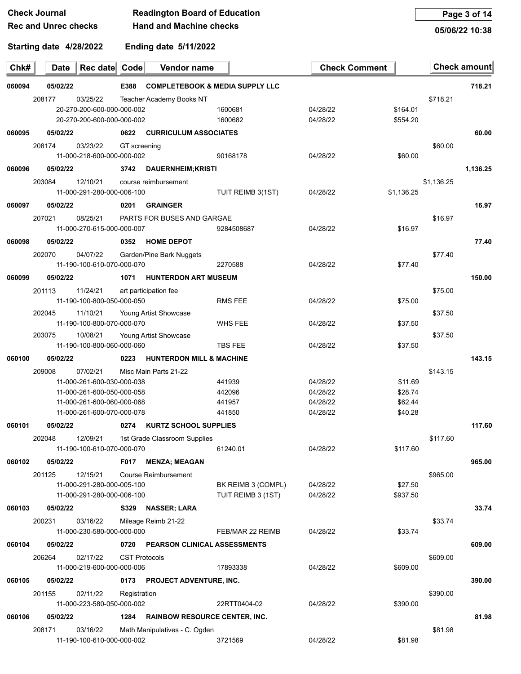| <b>Check Journal</b>        | <b>Readington Board of Education</b> |
|-----------------------------|--------------------------------------|
| <b>Rec and Unrec checks</b> | <b>Hand and Machine checks</b>       |

**Page 3 of 14**

**05/06/22 10:38**

| <b>Luding date 3/11/202</b> |  |  |
|-----------------------------|--|--|
|                             |  |  |

| Chk#   | Rec date Code<br><b>Date</b>                                                   | Vendor name                                        |                                          | <b>Check Comment</b> |                      | <b>Check amount</b> |          |
|--------|--------------------------------------------------------------------------------|----------------------------------------------------|------------------------------------------|----------------------|----------------------|---------------------|----------|
| 060094 | 05/02/22                                                                       | E388<br><b>COMPLETEBOOK &amp; MEDIA SUPPLY LLC</b> |                                          |                      |                      |                     | 718.21   |
|        | 208177<br>03/25/22<br>20-270-200-600-000-000-002<br>20-270-200-600-000-000-002 | Teacher Academy Books NT                           | 1600681<br>1600682                       | 04/28/22<br>04/28/22 | \$164.01<br>\$554.20 | \$718.21            |          |
| 060095 | 05/02/22                                                                       | <b>CURRICULUM ASSOCIATES</b><br>0622               |                                          |                      |                      |                     | 60.00    |
|        | 208174<br>03/23/22<br>11-000-218-600-000-000-002                               | GT screening                                       | 90168178                                 | 04/28/22             | \$60.00              | \$60.00             |          |
| 060096 | 05/02/22                                                                       | 3742<br><b>DAUERNHEIM; KRISTI</b>                  |                                          |                      |                      |                     | 1,136.25 |
|        | 203084<br>12/10/21<br>11-000-291-280-000-006-100                               | course reimbursement                               | TUIT REIMB 3(1ST)                        | 04/28/22             | \$1,136.25           | \$1,136.25          |          |
| 060097 | 05/02/22                                                                       | <b>GRAINGER</b><br>0201                            |                                          |                      |                      |                     | 16.97    |
|        | 207021<br>08/25/21<br>11-000-270-615-000-000-007                               | PARTS FOR BUSES AND GARGAE                         | 9284508687                               | 04/28/22             | \$16.97              | \$16.97             |          |
| 060098 | 05/02/22                                                                       | <b>HOME DEPOT</b><br>0352                          |                                          |                      |                      |                     | 77.40    |
|        | 202070<br>04/07/22<br>11-190-100-610-070-000-070                               | Garden/Pine Bark Nuggets                           | 2270588                                  | 04/28/22             | \$77.40              | \$77.40             |          |
| 060099 | 05/02/22                                                                       | <b>HUNTERDON ART MUSEUM</b><br>1071                |                                          |                      |                      |                     | 150.00   |
|        | 201113<br>11/24/21<br>11-190-100-800-050-000-050                               | art participation fee                              | <b>RMS FEE</b>                           | 04/28/22             | \$75.00              | \$75.00             |          |
|        | 202045<br>11/10/21                                                             | Young Artist Showcase                              |                                          |                      |                      | \$37.50             |          |
|        | 11-190-100-800-070-000-070                                                     |                                                    | WHS FEE                                  | 04/28/22             | \$37.50              |                     |          |
|        | 203075<br>10/08/21<br>11-190-100-800-060-000-060                               | Young Artist Showcase                              | <b>TBS FEE</b>                           | 04/28/22             | \$37.50              | \$37.50             |          |
| 060100 | 05/02/22                                                                       | 0223<br><b>HUNTERDON MILL &amp; MACHINE</b>        |                                          |                      |                      |                     | 143.15   |
|        | 07/02/21<br>209008                                                             | Misc Main Parts 21-22                              |                                          |                      |                      | \$143.15            |          |
|        | 11-000-261-600-030-000-038                                                     |                                                    | 441939                                   | 04/28/22             | \$11.69              |                     |          |
|        | 11-000-261-600-050-000-058                                                     |                                                    | 442096                                   | 04/28/22             | \$28.74              |                     |          |
|        | 11-000-261-600-060-000-068<br>11-000-261-600-070-000-078                       |                                                    | 441957<br>441850                         | 04/28/22<br>04/28/22 | \$62.44<br>\$40.28   |                     |          |
| 060101 | 05/02/22                                                                       | <b>KURTZ SCHOOL SUPPLIES</b><br>0274               |                                          |                      |                      |                     | 117.60   |
|        | 202048<br>12/09/21                                                             | 1st Grade Classroom Supplies                       |                                          |                      |                      | \$117.60            |          |
|        | 11-190-100-610-070-000-070                                                     |                                                    | 61240.01                                 | 04/28/22             | \$117.60             |                     |          |
| 060102 | 05/02/22                                                                       | <b>F017</b><br><b>MENZA: MEAGAN</b>                |                                          |                      |                      |                     | 965.00   |
|        | 12/15/21<br>201125                                                             | Course Reimbursement                               |                                          |                      |                      | \$965.00            |          |
|        | 11-000-291-280-000-005-100<br>11-000-291-280-000-006-100                       |                                                    | BK REIMB 3 (COMPL)<br>TUIT REIMB 3 (1ST) | 04/28/22<br>04/28/22 | \$27.50<br>\$937.50  |                     |          |
| 060103 | 05/02/22                                                                       | S329 NASSER; LARA                                  |                                          |                      |                      |                     | 33.74    |
|        | 200231<br>03/16/22                                                             | Mileage Reimb 21-22                                |                                          |                      |                      | \$33.74             |          |
|        | 11-000-230-580-000-000-000                                                     |                                                    | FEB/MAR 22 REIMB                         | 04/28/22             | \$33.74              |                     |          |
| 060104 | 05/02/22                                                                       | 0720 PEARSON CLINICAL ASSESSMENTS                  |                                          |                      |                      |                     | 609.00   |
|        | 206264<br>02/17/22                                                             | <b>CST Protocols</b>                               |                                          |                      |                      | \$609.00            |          |
|        | 11-000-219-600-000-000-006                                                     |                                                    | 17893338                                 | 04/28/22             | \$609.00             |                     |          |
| 060105 | 05/02/22                                                                       | 0173 PROJECT ADVENTURE, INC.                       |                                          |                      |                      |                     | 390.00   |
|        | 02/11/22<br>201155                                                             | Registration                                       |                                          |                      |                      | \$390.00            |          |
|        | 11-000-223-580-050-000-002                                                     |                                                    | 22RTT0404-02                             | 04/28/22             | \$390.00             |                     |          |
| 060106 | 05/02/22                                                                       | 1284<br><b>RAINBOW RESOURCE CENTER, INC.</b>       |                                          |                      |                      |                     | 81.98    |
|        | 208171<br>03/16/22<br>11-190-100-610-000-000-002                               | Math Manipulatives - C. Ogden                      | 3721569                                  | 04/28/22             | \$81.98              | \$81.98             |          |
|        |                                                                                |                                                    |                                          |                      |                      |                     |          |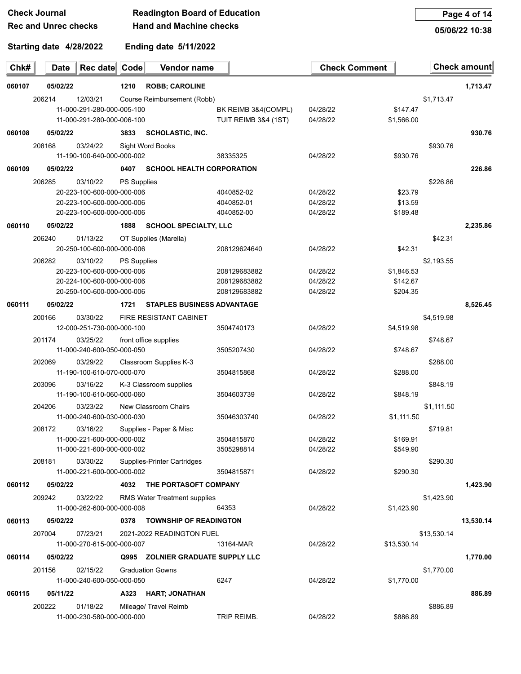#### **Check Journal Readington Board of Education Rec and Unrec checks Hand and Machine checks**

**Page 4 of 14**

**Starting date 4/28/2022**

**Ending date 5/11/2022**

J.

| 05/06/22 10:38 |  |
|----------------|--|
|                |  |
|                |  |

| Chk#   | <b>Date</b> | Rec date Code              |                    | Vendor name                         |                      | <b>Check Comment</b> |             |             | Check amount |
|--------|-------------|----------------------------|--------------------|-------------------------------------|----------------------|----------------------|-------------|-------------|--------------|
| 060107 | 05/02/22    |                            | 1210               | <b>ROBB; CAROLINE</b>               |                      |                      |             |             | 1,713.47     |
|        | 206214      | 12/03/21                   |                    | Course Reimbursement (Robb)         |                      |                      |             | \$1,713.47  |              |
|        |             | 11-000-291-280-000-005-100 |                    |                                     | BK REIMB 3&4(COMPL)  | 04/28/22             | \$147.47    |             |              |
|        |             | 11-000-291-280-000-006-100 |                    |                                     | TUIT REIMB 3&4 (1ST) | 04/28/22             | \$1,566.00  |             |              |
| 060108 | 05/02/22    |                            | 3833               | <b>SCHOLASTIC, INC.</b>             |                      |                      |             |             | 930.76       |
|        | 208168      | 03/24/22                   |                    | Sight Word Books                    |                      |                      |             | \$930.76    |              |
|        |             | 11-190-100-640-000-000-002 |                    |                                     | 38335325             | 04/28/22             | \$930.76    |             |              |
| 060109 | 05/02/22    |                            | 0407               | <b>SCHOOL HEALTH CORPORATION</b>    |                      |                      |             |             | 226.86       |
|        | 206285      | 03/10/22                   | PS Supplies        |                                     |                      |                      |             | \$226.86    |              |
|        |             | 20-223-100-600-000-000-006 |                    |                                     | 4040852-02           | 04/28/22             | \$23.79     |             |              |
|        |             | 20-223-100-600-000-000-006 |                    |                                     | 4040852-01           | 04/28/22             | \$13.59     |             |              |
|        |             | 20-223-100-600-000-000-006 |                    |                                     | 4040852-00           | 04/28/22             | \$189.48    |             |              |
| 060110 | 05/02/22    |                            | 1888               | <b>SCHOOL SPECIALTY, LLC</b>        |                      |                      |             |             | 2,235.86     |
|        | 206240      | 01/13/22                   |                    | OT Supplies (Marella)               |                      |                      |             | \$42.31     |              |
|        |             | 20-250-100-600-000-000-006 |                    |                                     | 208129624640         | 04/28/22             | \$42.31     |             |              |
|        | 206282      | 03/10/22                   | <b>PS Supplies</b> |                                     |                      |                      |             | \$2,193.55  |              |
|        |             | 20-223-100-600-000-000-006 |                    |                                     | 208129683882         | 04/28/22             | \$1,846.53  |             |              |
|        |             | 20-224-100-600-000-000-006 |                    |                                     | 208129683882         | 04/28/22             | \$142.67    |             |              |
|        |             | 20-250-100-600-000-000-006 |                    |                                     | 208129683882         | 04/28/22             | \$204.35    |             |              |
| 060111 | 05/02/22    |                            | 1721               | <b>STAPLES BUSINESS ADVANTAGE</b>   |                      |                      |             |             | 8,526.45     |
|        | 200166      | 03/30/22                   |                    | <b>FIRE RESISTANT CABINET</b>       |                      |                      |             | \$4,519.98  |              |
|        |             | 12-000-251-730-000-000-100 |                    |                                     | 3504740173           | 04/28/22             | \$4,519.98  |             |              |
|        | 201174      | 03/25/22                   |                    | front office supplies               |                      |                      |             | \$748.67    |              |
|        |             | 11-000-240-600-050-000-050 |                    |                                     | 3505207430           | 04/28/22             | \$748.67    |             |              |
|        | 202069      | 03/29/22                   |                    | Classroom Supplies K-3              |                      |                      |             | \$288.00    |              |
|        |             | 11-190-100-610-070-000-070 |                    |                                     | 3504815868           | 04/28/22             | \$288.00    |             |              |
|        | 203096      | 03/16/22                   |                    | K-3 Classroom supplies              |                      |                      |             | \$848.19    |              |
|        |             | 11-190-100-610-060-000-060 |                    |                                     | 3504603739           | 04/28/22             | \$848.19    |             |              |
|        | 204206      | 03/23/22                   |                    | New Classroom Chairs                |                      |                      |             | \$1,111.50  |              |
|        |             | 11-000-240-600-030-000-030 |                    |                                     | 35046303740          | 04/28/22             | \$1,111.50  |             |              |
|        | 208172      | 03/16/22                   |                    | Supplies - Paper & Misc             |                      |                      |             | \$719.81    |              |
|        |             | 11-000-221-600-000-000-002 |                    |                                     | 3504815870           | 04/28/22             | \$169.91    |             |              |
|        |             | 11-000-221-600-000-000-002 |                    |                                     | 3505298814           | 04/28/22             | \$549.90    |             |              |
|        | 208181      | 03/30/22                   |                    | Supplies-Printer Cartridges         |                      |                      |             | \$290.30    |              |
|        |             | 11-000-221-600-000-000-002 |                    |                                     | 3504815871           | 04/28/22             | \$290.30    |             |              |
| 060112 | 05/02/22    |                            | 4032               | THE PORTASOFT COMPANY               |                      |                      |             |             | 1,423.90     |
|        | 209242      | 03/22/22                   |                    | <b>RMS Water Treatment supplies</b> |                      |                      |             | \$1,423.90  |              |
|        |             | 11-000-262-600-000-000-008 |                    |                                     | 64353                | 04/28/22             | \$1,423.90  |             |              |
| 060113 | 05/02/22    |                            | 0378               | <b>TOWNSHIP OF READINGTON</b>       |                      |                      |             |             | 13,530.14    |
|        | 207004      | 07/23/21                   |                    | 2021-2022 READINGTON FUEL           |                      |                      |             | \$13,530.14 |              |
|        |             | 11-000-270-615-000-000-007 |                    |                                     | 13164-MAR            | 04/28/22             | \$13,530.14 |             |              |
| 060114 | 05/02/22    |                            |                    | Q995 ZOLNIER GRADUATE SUPPLY LLC    |                      |                      |             |             | 1,770.00     |
|        | 201156      | 02/15/22                   |                    | <b>Graduation Gowns</b>             |                      |                      |             | \$1,770.00  |              |
|        |             | 11-000-240-600-050-000-050 |                    |                                     | 6247                 | 04/28/22             | \$1,770.00  |             |              |
| 060115 | 05/11/22    |                            |                    | A323 HART; JONATHAN                 |                      |                      |             |             | 886.89       |
|        | 200222      | 01/18/22                   |                    | Mileage/ Travel Reimb               |                      |                      |             | \$886.89    |              |
|        |             | 11-000-230-580-000-000-000 |                    |                                     | TRIP REIMB.          | 04/28/22             | \$886.89    |             |              |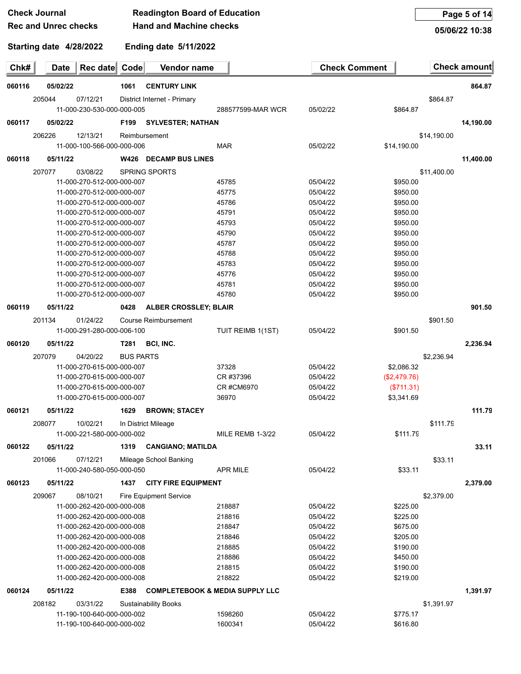|        | <b>Check Journal</b>                                     |                  | <b>Readington Board of Education</b> |                                            |                      |                      |             | Page 5 of 14        |
|--------|----------------------------------------------------------|------------------|--------------------------------------|--------------------------------------------|----------------------|----------------------|-------------|---------------------|
|        | <b>Rec and Unrec checks</b>                              |                  | <b>Hand and Machine checks</b>       |                                            |                      |                      |             | 05/06/22 10:38      |
|        | Starting date 4/28/2022                                  |                  | Ending date 5/11/2022                |                                            |                      |                      |             |                     |
| Chk#   | Rec date<br><b>Date</b>                                  | Code             | Vendor name                          |                                            | <b>Check Comment</b> |                      |             | <b>Check amount</b> |
| 060116 | 05/02/22                                                 | 1061             | <b>CENTURY LINK</b>                  |                                            |                      |                      |             | 864.87              |
|        | 205044<br>07/12/21                                       |                  | District Internet - Primary          |                                            |                      |                      | \$864.87    |                     |
|        | 11-000-230-530-000-000-005                               |                  |                                      | 288577599-MAR WCR                          | 05/02/22             | \$864.87             |             |                     |
| 060117 | 05/02/22                                                 | F199             | <b>SYLVESTER; NATHAN</b>             |                                            |                      |                      |             | 14,190.00           |
|        |                                                          |                  |                                      |                                            |                      |                      |             |                     |
|        | 206226<br>12/13/21<br>11-000-100-566-000-000-006         |                  | Reimbursement                        | <b>MAR</b>                                 | 05/02/22             | \$14,190.00          | \$14,190.00 |                     |
|        |                                                          |                  |                                      |                                            |                      |                      |             |                     |
| 060118 | 05/11/22                                                 |                  | <b>W426 DECAMP BUS LINES</b>         |                                            |                      |                      |             | 11,400.00           |
|        | 207077<br>03/08/22                                       |                  | <b>SPRING SPORTS</b>                 |                                            |                      |                      | \$11,400.00 |                     |
|        | 11-000-270-512-000-000-007                               |                  |                                      | 45785                                      | 05/04/22             | \$950.00             |             |                     |
|        | 11-000-270-512-000-000-007                               |                  |                                      | 45775                                      | 05/04/22             | \$950.00             |             |                     |
|        | 11-000-270-512-000-000-007                               |                  |                                      | 45786                                      | 05/04/22             | \$950.00             |             |                     |
|        | 11-000-270-512-000-000-007                               |                  |                                      | 45791                                      | 05/04/22             | \$950.00             |             |                     |
|        | 11-000-270-512-000-000-007<br>11-000-270-512-000-000-007 |                  |                                      | 45793<br>45790                             | 05/04/22<br>05/04/22 | \$950.00<br>\$950.00 |             |                     |
|        | 11-000-270-512-000-000-007                               |                  |                                      | 45787                                      | 05/04/22             | \$950.00             |             |                     |
|        | 11-000-270-512-000-000-007                               |                  |                                      | 45788                                      | 05/04/22             | \$950.00             |             |                     |
|        | 11-000-270-512-000-000-007                               |                  |                                      | 45783                                      | 05/04/22             | \$950.00             |             |                     |
|        | 11-000-270-512-000-000-007                               |                  |                                      | 45776                                      | 05/04/22             | \$950.00             |             |                     |
|        | 11-000-270-512-000-000-007                               |                  |                                      | 45781                                      | 05/04/22             | \$950.00             |             |                     |
|        | 11-000-270-512-000-000-007                               |                  |                                      | 45780                                      | 05/04/22             | \$950.00             |             |                     |
| 060119 |                                                          |                  |                                      |                                            |                      |                      |             | 901.50              |
|        | 05/11/22                                                 | 0428             | <b>ALBER CROSSLEY; BLAIR</b>         |                                            |                      |                      |             |                     |
|        | 201134<br>01/24/22                                       |                  | <b>Course Reimbursement</b>          |                                            |                      |                      | \$901.50    |                     |
|        | 11-000-291-280-000-006-100                               |                  |                                      | TUIT REIMB 1(1ST)                          | 05/04/22             | \$901.50             |             |                     |
| 060120 | 05/11/22                                                 | T281             | BCI, INC.                            |                                            |                      |                      |             | 2.236.94            |
|        | 04/20/22<br>207079                                       | <b>BUS PARTS</b> |                                      |                                            |                      |                      | \$2,236.94  |                     |
|        | 11-000-270-615-000-000-007                               |                  |                                      | 37328                                      | 05/04/22             | \$2,086.32           |             |                     |
|        | 11-000-270-615-000-000-007                               |                  |                                      | CR #37396                                  | 05/04/22             | (\$2,479.76)         |             |                     |
|        | 11-000-270-615-000-000-007                               |                  |                                      | CR #CM6970                                 | 05/04/22             | (\$711.31)           |             |                     |
|        | 11-000-270-615-000-000-007                               |                  |                                      | 36970                                      | 05/04/22             | \$3,341.69           |             |                     |
| 060121 | 05/11/22                                                 | 1629             | <b>BROWN; STACEY</b>                 |                                            |                      |                      |             | 111.79              |
|        | 10/02/21<br>208077                                       |                  | In District Mileage                  |                                            |                      |                      | \$111.79    |                     |
|        | 11-000-221-580-000-000-002                               |                  |                                      | MILE REMB 1-3/22                           | 05/04/22             | \$111.79             |             |                     |
|        | 05/11/22                                                 |                  |                                      |                                            |                      |                      |             | 33.11               |
| 060122 |                                                          | 1319             | <b>CANGIANO; MATILDA</b>             |                                            |                      |                      |             |                     |
|        | 07/12/21<br>201066                                       |                  | Mileage School Banking               |                                            |                      |                      | \$33.11     |                     |
|        | 11-000-240-580-050-000-050                               |                  |                                      | <b>APR MILE</b>                            | 05/04/22             | \$33.11              |             |                     |
| 060123 | 05/11/22                                                 | 1437             | <b>CITY FIRE EQUIPMENT</b>           |                                            |                      |                      |             | 2,379.00            |
|        | 08/10/21<br>209067                                       |                  | <b>Fire Equipment Service</b>        |                                            |                      |                      | \$2,379.00  |                     |
|        | 11-000-262-420-000-000-008                               |                  |                                      | 218887                                     | 05/04/22             | \$225.00             |             |                     |
|        | 11-000-262-420-000-000-008                               |                  |                                      | 218816                                     | 05/04/22             | \$225.00             |             |                     |
|        | 11-000-262-420-000-000-008                               |                  |                                      | 218847                                     | 05/04/22             | \$675.00             |             |                     |
|        | 11-000-262-420-000-000-008                               |                  |                                      | 218846                                     | 05/04/22             | \$205.00             |             |                     |
|        | 11-000-262-420-000-000-008                               |                  |                                      | 218885                                     | 05/04/22             | \$190.00             |             |                     |
|        | 11-000-262-420-000-000-008                               |                  |                                      | 218886                                     | 05/04/22             | \$450.00             |             |                     |
|        | 11-000-262-420-000-000-008                               |                  |                                      | 218815                                     | 05/04/22             | \$190.00             |             |                     |
|        | 11-000-262-420-000-000-008                               |                  |                                      | 218822                                     | 05/04/22             | \$219.00             |             |                     |
| 060124 | 05/11/22                                                 | E388             |                                      | <b>COMPLETEBOOK &amp; MEDIA SUPPLY LLC</b> |                      |                      |             | 1,391.97            |
|        | 208182<br>03/31/22                                       |                  | <b>Sustainability Books</b>          |                                            |                      |                      | \$1,391.97  |                     |
|        | 11-190-100-640-000-000-002                               |                  |                                      | 1598260                                    | 05/04/22             | \$775.17             |             |                     |
|        | 11-190-100-640-000-000-002                               |                  |                                      | 1600341                                    | 05/04/22             | \$616.80             |             |                     |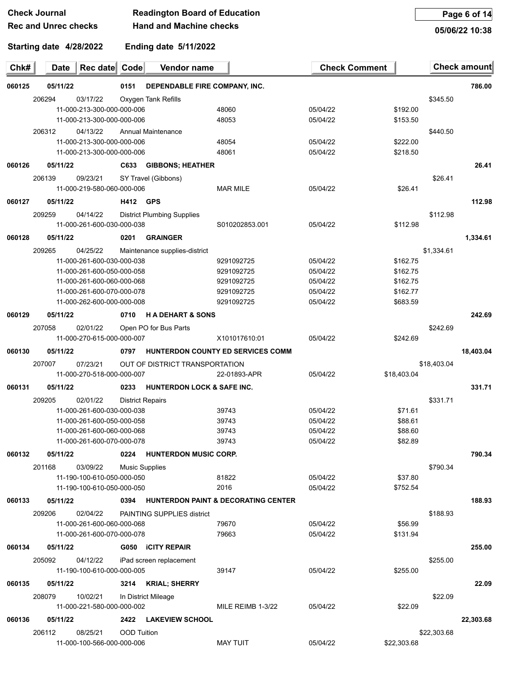| <b>Check Journal</b>        | <b>Readington Board of Education</b> |
|-----------------------------|--------------------------------------|
| <b>Rec and Unrec checks</b> | <b>Hand and Machine checks</b>       |

|                             | νπστη συμπαι<br><b>Readington Doard of Education</b> |                            |                 |                                       |                                   | Page 6 01 14         |             |             |                     |
|-----------------------------|------------------------------------------------------|----------------------------|-----------------|---------------------------------------|-----------------------------------|----------------------|-------------|-------------|---------------------|
| <b>Rec and Unrec checks</b> |                                                      |                            |                 | <b>Hand and Machine checks</b>        |                                   |                      |             |             | 05/06/22 10:38      |
|                             | Starting date 4/28/2022                              |                            |                 | Ending date 5/11/2022                 |                                   |                      |             |             |                     |
| Chk#                        | <b>Date</b>                                          | Rec date Code              |                 | Vendor name                           |                                   | <b>Check Comment</b> |             |             | <b>Check amount</b> |
| 060125                      | 05/11/22                                             |                            | 0151            | DEPENDABLE FIRE COMPANY, INC.         |                                   |                      |             |             | 786.00              |
|                             | 206294                                               | 03/17/22                   |                 | Oxygen Tank Refills                   |                                   |                      |             | \$345.50    |                     |
|                             |                                                      | 11-000-213-300-000-000-006 |                 |                                       | 48060                             | 05/04/22             | \$192.00    |             |                     |
|                             |                                                      | 11-000-213-300-000-000-006 |                 |                                       | 48053                             | 05/04/22             | \$153.50    |             |                     |
|                             | 206312                                               | 04/13/22                   |                 | Annual Maintenance                    |                                   |                      |             | \$440.50    |                     |
|                             |                                                      | 11-000-213-300-000-000-006 |                 |                                       | 48054                             | 05/04/22             | \$222.00    |             |                     |
|                             |                                                      | 11-000-213-300-000-000-006 |                 |                                       | 48061                             | 05/04/22             | \$218.50    |             |                     |
| 060126                      | 05/11/22                                             |                            |                 | C633 GIBBONS; HEATHER                 |                                   |                      |             |             | 26.41               |
|                             | 206139                                               | 09/23/21                   |                 | SY Travel (Gibbons)                   |                                   |                      |             | \$26.41     |                     |
|                             |                                                      | 11-000-219-580-060-000-006 |                 |                                       | <b>MAR MILE</b>                   | 05/04/22             | \$26.41     |             |                     |
| 060127                      | 05/11/22                                             |                            | <b>H412 GPS</b> |                                       |                                   |                      |             |             | 112.98              |
|                             | 209259                                               | 04/14/22                   |                 | <b>District Plumbing Supplies</b>     |                                   |                      |             | \$112.98    |                     |
|                             |                                                      | 11-000-261-600-030-000-038 |                 |                                       | S010202853.001                    | 05/04/22             | \$112.98    |             |                     |
| 060128                      | 05/11/22                                             |                            | 0201            | <b>GRAINGER</b>                       |                                   |                      |             |             | 1,334.61            |
|                             | 209265                                               | 04/25/22                   |                 | Maintenance supplies-district         |                                   |                      |             | \$1,334.61  |                     |
|                             |                                                      | 11-000-261-600-030-000-038 |                 |                                       | 9291092725                        | 05/04/22             | \$162.75    |             |                     |
|                             |                                                      | 11-000-261-600-050-000-058 |                 |                                       | 9291092725                        | 05/04/22             | \$162.75    |             |                     |
|                             |                                                      | 11-000-261-600-060-000-068 |                 |                                       | 9291092725                        | 05/04/22             | \$162.75    |             |                     |
|                             |                                                      | 11-000-261-600-070-000-078 |                 |                                       | 9291092725                        | 05/04/22             | \$162.77    |             |                     |
|                             |                                                      | 11-000-262-600-000-000-008 |                 |                                       | 9291092725                        | 05/04/22             | \$683.59    |             |                     |
| 060129                      | 05/11/22                                             |                            | 0710            | <b>HADEHART &amp; SONS</b>            |                                   |                      |             |             | 242.69              |
|                             | 207058                                               | 02/01/22                   |                 | Open PO for Bus Parts                 |                                   |                      |             | \$242.69    |                     |
|                             |                                                      | 11-000-270-615-000-000-007 |                 |                                       | X101017610:01                     | 05/04/22             | \$242.69    |             |                     |
| 060130                      | 05/11/22                                             |                            | 0797            |                                       | HUNTERDON COUNTY ED SERVICES COMM |                      |             |             | 18,403.04           |
|                             | 207007                                               | 07/23/21                   |                 | OUT OF DISTRICT TRANSPORTATION        |                                   |                      |             | \$18,403.04 |                     |
|                             |                                                      | 11-000-270-518-000-000-007 |                 |                                       | 22-01893-APR                      | 05/04/22             | \$18,403.04 |             |                     |
| 060131                      | 05/11/22                                             |                            | 0233            | <b>HUNTERDON LOCK &amp; SAFE INC.</b> |                                   |                      |             |             | 331.71              |
|                             | 209205                                               | 02/01/22                   |                 | <b>District Repairs</b>               |                                   |                      |             | \$331.71    |                     |
|                             |                                                      | 11-000-261-600-030-000-038 |                 |                                       | 39743                             | 05/04/22             | \$71.61     |             |                     |
|                             |                                                      | 11-000-261-600-050-000-058 |                 |                                       | 39743                             | 05/04/22             | \$88.61     |             |                     |
|                             |                                                      | 11-000-261-600-060-000-068 |                 |                                       | 39743                             | 05/04/22             | \$88.60     |             |                     |
|                             |                                                      | 11-000-261-600-070-000-078 |                 |                                       | 39743                             | 05/04/22             | \$82.89     |             |                     |
| 060132                      | 05/11/22                                             |                            | 0224            | <b>HUNTERDON MUSIC CORP.</b>          |                                   |                      |             |             | 790.34              |

11-190-100-610-050-000-050 81822 05/04/22 \$37.80 11-190-100-610-050-000-050 2016 05/04/22 \$752.54

11-000-261-600-060-000-068 79670 05/04/22 \$56.99 11-000-261-600-070-000-078 79663 05/04/22 \$131.94

11-190-100-610-000-000-005 39147 05/04/22 \$255.00

 03/09/22 Music Supplies \$790.34 **05/11/22 0394 HUNTERDON PAINT & DECORATING CENTER 188.93** 209206 02/04/22 PAINTING SUPPLIES district \$188.93 **05/11/22 G050 iCITY REPAIR 255.00** 04/12/22 iPad screen replacement \$255.00

| 060135 | 05/11/22 |                            | 3214 | <b>KRIAL: SHERRY</b> |                   |          |         | 22.09   |
|--------|----------|----------------------------|------|----------------------|-------------------|----------|---------|---------|
|        | 208079   | 10/02/21                   |      | In District Mileage  |                   |          |         | \$22.09 |
|        |          | 11-000-221-580-000-000-002 |      |                      | MILE REIMB 1-3/22 | 05/04/22 | \$22.09 |         |

#### **060136 05/11/22 2422 LAKEVIEW SCHOOL 22,303.68**

206112 08/25/21 OOD Tuition \$22,303.68 11-000-100-566-000-000-006 MAY TUIT 05/04/22 \$22,303.68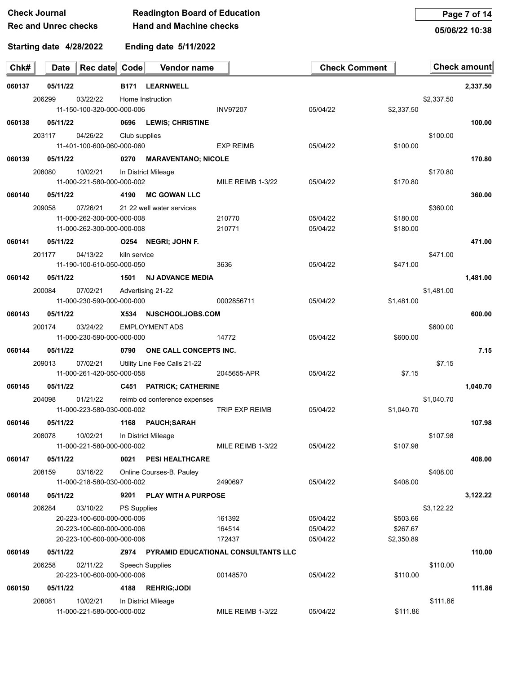#### **Check Journal Readington Board of Education Rec and Unrec checks Hand and Machine checks**

**Page 7 of 14**

**05/06/22 10:38**

| Chk#   | <b>Date</b> | Rec date Code                          |                    | Vendor name                   |                                                 | <b>Check Comment</b> |            |            | <b>Check amount</b> |
|--------|-------------|----------------------------------------|--------------------|-------------------------------|-------------------------------------------------|----------------------|------------|------------|---------------------|
| 060137 | 05/11/22    |                                        | B171               | <b>LEARNWELL</b>              |                                                 |                      |            |            | 2,337.50            |
|        | 206299      | 03/22/22                               |                    | Home Instruction              |                                                 |                      |            | \$2,337.50 |                     |
|        |             | 11-150-100-320-000-000-006             |                    |                               | <b>INV97207</b>                                 | 05/04/22             | \$2,337.50 |            |                     |
| 060138 | 05/11/22    |                                        |                    | 0696 LEWIS; CHRISTINE         |                                                 |                      |            |            | 100.00              |
|        | 203117      | 04/26/22                               | Club supplies      |                               |                                                 |                      |            | \$100.00   |                     |
|        |             | 11-401-100-600-060-000-060             |                    |                               | <b>EXP REIMB</b>                                | 05/04/22             | \$100.00   |            |                     |
| 060139 | 05/11/22    |                                        | 0270               | <b>MARAVENTANO; NICOLE</b>    |                                                 |                      |            |            | 170.80              |
|        | 208080      | 10/02/21                               |                    | In District Mileage           |                                                 | 05/04/22             | \$170.80   | \$170.80   |                     |
|        |             | 11-000-221-580-000-000-002             |                    |                               | MILE REIMB 1-3/22                               |                      |            |            |                     |
| 060140 | 05/11/22    |                                        | 4190               | <b>MC GOWAN LLC</b>           |                                                 |                      |            |            | 360.00              |
|        | 209058      | 07/26/21<br>11-000-262-300-000-000-008 |                    | 21 22 well water services     | 210770                                          | 05/04/22             | \$180.00   | \$360.00   |                     |
|        |             | 11-000-262-300-000-000-008             |                    |                               | 210771                                          | 05/04/22             | \$180.00   |            |                     |
| 060141 | 05/11/22    |                                        |                    | O254 NEGRI; JOHN F.           |                                                 |                      |            |            | 471.00              |
|        | 201177      | 04/13/22                               | kiln service       |                               |                                                 |                      |            | \$471.00   |                     |
|        |             | 11-190-100-610-050-000-050             |                    |                               | 3636                                            | 05/04/22             | \$471.00   |            |                     |
| 060142 | 05/11/22    |                                        | 1501               | <b>NJ ADVANCE MEDIA</b>       |                                                 |                      |            |            | 1,481.00            |
|        | 200084      | 07/02/21                               |                    | Advertising 21-22             |                                                 |                      |            | \$1,481.00 |                     |
|        |             | 11-000-230-590-000-000-000             |                    |                               | 0002856711                                      | 05/04/22             | \$1,481.00 |            |                     |
| 060143 | 05/11/22    |                                        | X534               | <b>NJSCHOOLJOBS.COM</b>       |                                                 |                      |            |            | 600.00              |
|        | 200174      | 03/24/22                               |                    | <b>EMPLOYMENT ADS</b>         |                                                 |                      |            | \$600.00   |                     |
|        |             | 11-000-230-590-000-000-000             |                    |                               | 14772                                           | 05/04/22             | \$600.00   |            |                     |
| 060144 | 05/11/22    |                                        | 0790               | <b>ONE CALL CONCEPTS INC.</b> |                                                 |                      |            |            | 7.15                |
|        | 209013      | 07/02/21                               |                    | Utility Line Fee Calls 21-22  |                                                 |                      |            | \$7.15     |                     |
|        |             | 11-000-261-420-050-000-058             |                    |                               | 2045655-APR                                     | 05/04/22             | \$7.15     |            |                     |
| 060145 | 05/11/22    |                                        |                    | C451 PATRICK; CATHERINE       |                                                 |                      |            |            | 1,040.70            |
|        | 204098      | 01/21/22                               |                    | reimb od conference expenses  |                                                 |                      |            | \$1,040.70 |                     |
|        |             | 11-000-223-580-030-000-002             |                    |                               | TRIP EXP REIMB                                  | 05/04/22             | \$1,040.70 |            |                     |
| 060146 | 05/11/22    |                                        | 1168               | <b>PAUCH; SARAH</b>           |                                                 |                      |            |            | 107.98              |
|        | 208078      | 10/02/21<br>11-000-221-580-000-000-002 |                    | In District Mileage           | MILE REIMB 1-3/22                               | 05/04/22             | \$107.98   | \$107.98   |                     |
| 060147 | 05/11/22    |                                        | 0021               | <b>PESI HEALTHCARE</b>        |                                                 |                      |            |            | 408.00              |
|        | 208159      | 03/16/22                               |                    | Online Courses-B. Pauley      |                                                 |                      |            | \$408.00   |                     |
|        |             | 11-000-218-580-030-000-002             |                    |                               | 2490697                                         | 05/04/22             | \$408.00   |            |                     |
| 060148 | 05/11/22    |                                        | 9201               | <b>PLAY WITH A PURPOSE</b>    |                                                 |                      |            |            | 3,122.22            |
|        | 206284      | 03/10/22                               | <b>PS Supplies</b> |                               |                                                 |                      |            | \$3,122.22 |                     |
|        |             | 20-223-100-600-000-000-006             |                    |                               | 161392                                          | 05/04/22             | \$503.66   |            |                     |
|        |             | 20-223-100-600-000-000-006             |                    |                               | 164514                                          | 05/04/22             | \$267.67   |            |                     |
|        |             | 20-223-100-600-000-000-006             |                    |                               | 172437                                          | 05/04/22             | \$2,350.89 |            |                     |
| 060149 | 05/11/22    |                                        |                    |                               | <b>Z974 PYRAMID EDUCATIONAL CONSULTANTS LLC</b> |                      |            |            | 110.00              |
|        | 206258      | 02/11/22                               |                    | Speech Supplies               |                                                 |                      |            | \$110.00   |                     |
|        |             | 20-223-100-600-000-000-006             |                    |                               | 00148570                                        | 05/04/22             | \$110.00   |            |                     |
| 060150 | 05/11/22    |                                        | 4188               | <b>REHRIG;JODI</b>            |                                                 |                      |            |            | 111.86              |
|        | 208081      | 10/02/21<br>11-000-221-580-000-000-002 |                    | In District Mileage           | MILE REIMB 1-3/22                               | 05/04/22             | \$111.86   | \$111.86   |                     |
|        |             |                                        |                    |                               |                                                 |                      |            |            |                     |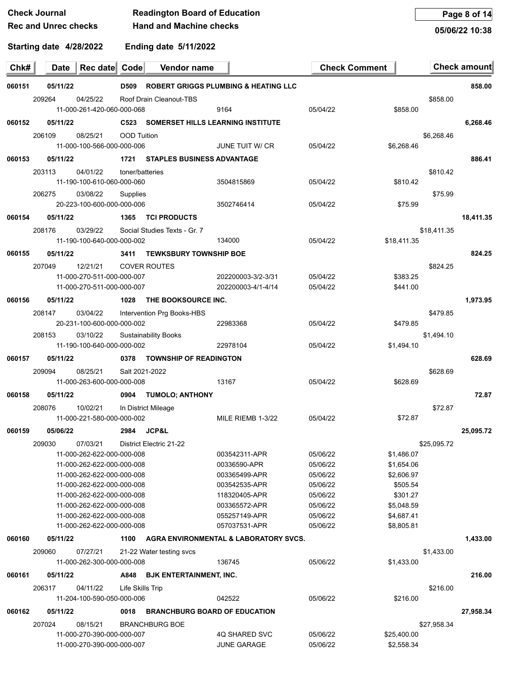| <b>Check Journal</b>        | <b>Readington Board of Education</b> |
|-----------------------------|--------------------------------------|
| <b>Rec and Unrec checks</b> | <b>Hand and Machine checks</b>       |

**Page 8 of 14**

**05/06/22 10:38**

| Chk#   | Date     | Rec date Code                                            |                    | Vendor name                          |                                                 | <b>Check Comment</b> |                          |             | <b>Check amount</b> |
|--------|----------|----------------------------------------------------------|--------------------|--------------------------------------|-------------------------------------------------|----------------------|--------------------------|-------------|---------------------|
| 060151 | 05/11/22 |                                                          | D509               |                                      | <b>ROBERT GRIGGS PLUMBING &amp; HEATING LLC</b> |                      |                          |             | 858.00              |
|        | 209264   | 04/25/22<br>11-000-261-420-060-000-068                   |                    | Roof Drain Cleanout-TBS              | 9164                                            | 05/04/22             | \$858.00                 | \$858.00    |                     |
| 060152 | 05/11/22 |                                                          | C523               |                                      | <b>SOMERSET HILLS LEARNING INSTITUTE</b>        |                      |                          |             | 6,268.46            |
|        | 206109   | 08/25/21<br>11-000-100-566-000-000-006                   | <b>OOD Tuition</b> |                                      | JUNE TUIT W/ CR                                 | 05/04/22             | \$6,268.46               | \$6,268.46  |                     |
| 060153 | 05/11/22 |                                                          | 1721               | <b>STAPLES BUSINESS ADVANTAGE</b>    |                                                 |                      |                          |             | 886.41              |
|        | 203113   | 04/01/22                                                 | toner/batteries    |                                      |                                                 |                      |                          | \$810.42    |                     |
|        |          | 11-190-100-610-060-000-060                               |                    |                                      | 3504815869                                      | 05/04/22             | \$810.42                 |             |                     |
|        | 206275   | 03/08/22                                                 | Supplies           |                                      |                                                 |                      |                          | \$75.99     |                     |
|        |          | 20-223-100-600-000-000-006                               |                    |                                      | 3502746414                                      | 05/04/22             | \$75.99                  |             |                     |
| 060154 | 05/11/22 |                                                          | 1365               | <b>TCI PRODUCTS</b>                  |                                                 |                      |                          |             | 18,411.35           |
|        | 208176   | 03/29/22                                                 |                    | Social Studies Texts - Gr. 7         |                                                 |                      |                          | \$18.411.35 |                     |
|        |          | 11-190-100-640-000-000-002                               |                    |                                      | 134000                                          | 05/04/22             | \$18,411.35              |             |                     |
| 060155 | 05/11/22 |                                                          | 3411               | <b>TEWKSBURY TOWNSHIP BOE</b>        |                                                 |                      |                          |             | 824.25              |
|        | 207049   | 12/21/21                                                 |                    | <b>COVER ROUTES</b>                  |                                                 |                      |                          | \$824.25    |                     |
|        |          | 11-000-270-511-000-000-007                               |                    |                                      | 202200003-3/2-3/31                              | 05/04/22             | \$383.25                 |             |                     |
|        |          | 11-000-270-511-000-000-007                               |                    |                                      | 202200003-4/1-4/14                              | 05/04/22             | \$441.00                 |             |                     |
| 060156 | 05/11/22 |                                                          | 1028               | THE BOOKSOURCE INC.                  |                                                 |                      |                          |             | 1,973.95            |
|        | 208147   | 03/04/22                                                 |                    | Intervention Prg Books-HBS           |                                                 |                      |                          | \$479.85    |                     |
|        |          | 20-231-100-600-000-000-002                               |                    |                                      | 22983368                                        | 05/04/22             | \$479.85                 |             |                     |
|        | 208153   | 03/10/22<br>11-190-100-640-000-000-002                   |                    | <b>Sustainability Books</b>          | 22978104                                        | 05/04/22             | \$1,494.10               | \$1,494.10  |                     |
| 060157 | 05/11/22 |                                                          | 0378               | <b>TOWNSHIP OF READINGTON</b>        |                                                 |                      |                          |             | 628.69              |
|        | 209094   | 08/25/21                                                 | Salt 2021-2022     |                                      |                                                 |                      |                          | \$628.69    |                     |
|        |          | 11-000-263-600-000-000-008                               |                    |                                      | 13167                                           | 05/04/22             | \$628.69                 |             |                     |
| 060158 | 05/11/22 |                                                          | 0904               | <b>TUMOLO; ANTHONY</b>               |                                                 |                      |                          |             | 72.87               |
|        | 208076   | 10/02/21                                                 |                    | In District Mileage                  |                                                 |                      |                          | \$72.87     |                     |
|        |          | 11-000-221-580-000-000-002                               |                    |                                      | MILE RIEMB 1-3/22                               | 05/04/22             | \$72.87                  |             |                     |
| 060159 | 05/06/22 |                                                          | 2984               | <b>JCP&amp;L</b>                     |                                                 |                      |                          |             | 25,095.72           |
|        | 209030   | 07/03/21                                                 |                    | District Electric 21-22              |                                                 |                      |                          | \$25,095.72 |                     |
|        |          | 11-000-262-622-000-000-008                               |                    |                                      | 003542311-APR                                   | 05/06/22             | \$1,486.07               |             |                     |
|        |          | 11-000-262-622-000-000-008                               |                    |                                      | 00336590-APR                                    | 05/06/22             | \$1,654.06               |             |                     |
|        |          | 11-000-262-622-000-000-008                               |                    |                                      | 003365499-APR                                   | 05/06/22             | \$2,606.97               |             |                     |
|        |          | 11-000-262-622-000-000-008                               |                    |                                      | 003542535-APR                                   | 05/06/22             | \$505.54                 |             |                     |
|        |          | 11-000-262-622-000-000-008                               |                    |                                      | 118320405-APR                                   | 05/06/22             | \$301.27                 |             |                     |
|        |          | 11-000-262-622-000-000-008                               |                    |                                      | 003365572-APR                                   | 05/06/22             | \$5,048.59               |             |                     |
|        |          | 11-000-262-622-000-000-008<br>11-000-262-622-000-000-008 |                    |                                      | 055257149-APR<br>057037531-APR                  | 05/06/22<br>05/06/22 | \$4,687.41<br>\$8,805.81 |             |                     |
| 060160 | 05/11/22 |                                                          | 1100               |                                      | AGRA ENVIRONMENTAL & LABORATORY SVCS.           |                      |                          |             | 1,433.00            |
|        |          |                                                          |                    |                                      |                                                 |                      |                          |             |                     |
|        | 209060   | 07/27/21<br>11-000-262-300-000-000-008                   |                    | 21-22 Water testing svcs             | 136745                                          | 05/06/22             | \$1,433.00               | \$1,433.00  |                     |
|        | 05/11/22 |                                                          |                    |                                      |                                                 |                      |                          |             |                     |
| 060161 |          |                                                          | A848               | <b>BJK ENTERTAINMENT, INC.</b>       |                                                 |                      |                          |             | 216.00              |
|        | 206317   | 04/11/22<br>11-204-100-590-050-000-006                   | Life Skills Trip   |                                      | 042522                                          | 05/06/22             | \$216.00                 | \$216.00    |                     |
|        |          |                                                          |                    | <b>BRANCHBURG BOARD OF EDUCATION</b> |                                                 |                      |                          |             |                     |
| 060162 | 05/11/22 |                                                          | 0018               |                                      |                                                 |                      |                          |             | 27,958.34           |
|        | 207024   | 08/15/21<br>11-000-270-390-000-000-007                   |                    | <b>BRANCHBURG BOE</b>                | 4Q SHARED SVC                                   | 05/06/22             | \$25,400.00              | \$27,958.34 |                     |
|        |          | 11-000-270-390-000-000-007                               |                    |                                      | <b>JUNE GARAGE</b>                              | 05/06/22             | \$2,558.34               |             |                     |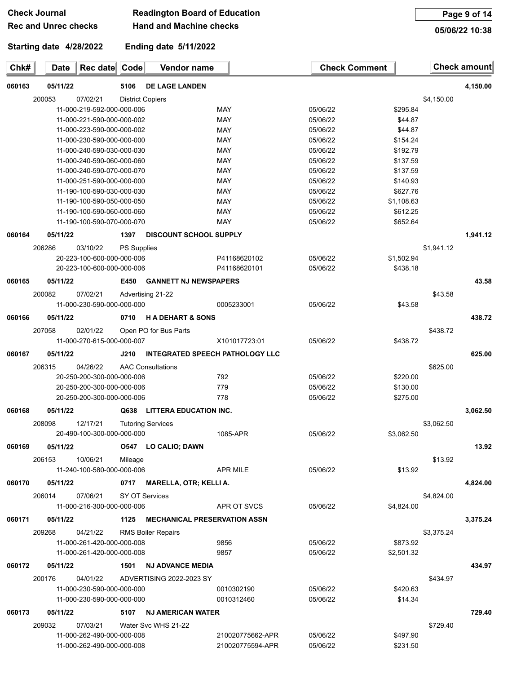| Check Journal               | <b>Readington Board of Education</b> |
|-----------------------------|--------------------------------------|
| <b>Rec and Unrec checks</b> | <b>Hand and Machine checks</b>       |

**Page 9 of 14**

**05/06/22 10:38**

| Chk#   | <b>Date</b> | Rec date Code              |             | Vendor name                            |                  | <b>Check Comment</b> |            |            | Check amount |
|--------|-------------|----------------------------|-------------|----------------------------------------|------------------|----------------------|------------|------------|--------------|
| 060163 | 05/11/22    |                            | 5106        | <b>DE LAGE LANDEN</b>                  |                  |                      |            |            | 4,150.00     |
|        | 200053      | 07/02/21                   |             | <b>District Copiers</b>                |                  |                      |            | \$4,150.00 |              |
|        |             | 11-000-219-592-000-000-006 |             |                                        | <b>MAY</b>       | 05/06/22             | \$295.84   |            |              |
|        |             | 11-000-221-590-000-000-002 |             |                                        | <b>MAY</b>       | 05/06/22             | \$44.87    |            |              |
|        |             | 11-000-223-590-000-000-002 |             |                                        | <b>MAY</b>       | 05/06/22             | \$44.87    |            |              |
|        |             | 11-000-230-590-000-000-000 |             |                                        | <b>MAY</b>       | 05/06/22             | \$154.24   |            |              |
|        |             | 11-000-240-590-030-000-030 |             |                                        | MAY              | 05/06/22             | \$192.79   |            |              |
|        |             | 11-000-240-590-060-000-060 |             |                                        | <b>MAY</b>       | 05/06/22             | \$137.59   |            |              |
|        |             | 11-000-240-590-070-000-070 |             |                                        | <b>MAY</b>       | 05/06/22             | \$137.59   |            |              |
|        |             | 11-000-251-590-000-000-000 |             |                                        | <b>MAY</b>       | 05/06/22             | \$140.93   |            |              |
|        |             | 11-190-100-590-030-000-030 |             |                                        | MAY              | 05/06/22             | \$627.76   |            |              |
|        |             | 11-190-100-590-050-000-050 |             |                                        | MAY              | 05/06/22             | \$1,108.63 |            |              |
|        |             | 11-190-100-590-060-000-060 |             |                                        | MAY              | 05/06/22             | \$612.25   |            |              |
|        |             | 11-190-100-590-070-000-070 |             |                                        | MAY              | 05/06/22             | \$652.64   |            |              |
| 060164 | 05/11/22    |                            | 1397        | <b>DISCOUNT SCHOOL SUPPLY</b>          |                  |                      |            |            | 1.941.12     |
|        | 206286      | 03/10/22                   | PS Supplies |                                        |                  |                      |            | \$1,941.12 |              |
|        |             | 20-223-100-600-000-000-006 |             |                                        | P41168620102     | 05/06/22             | \$1,502.94 |            |              |
|        |             | 20-223-100-600-000-000-006 |             |                                        | P41168620101     | 05/06/22             | \$438.18   |            |              |
| 060165 | 05/11/22    |                            | E450        | <b>GANNETT NJ NEWSPAPERS</b>           |                  |                      |            |            | 43.58        |
|        | 200082      | 07/02/21                   |             | Advertising 21-22                      |                  |                      |            | \$43.58    |              |
|        |             | 11-000-230-590-000-000-000 |             |                                        | 0005233001       | 05/06/22             | \$43.58    |            |              |
| 060166 | 05/11/22    |                            | 0710        | <b>HADEHART &amp; SONS</b>             |                  |                      |            |            | 438.72       |
|        | 207058      | 02/01/22                   |             | Open PO for Bus Parts                  |                  |                      |            | \$438.72   |              |
|        |             | 11-000-270-615-000-000-007 |             |                                        | X101017723:01    | 05/06/22             | \$438.72   |            |              |
|        |             |                            |             |                                        |                  |                      |            |            |              |
| 060167 | 05/11/22    |                            | J210        | <b>INTEGRATED SPEECH PATHOLOGY LLC</b> |                  |                      |            |            | 625.00       |
|        | 206315      | 04/26/22                   |             | <b>AAC Consultations</b>               |                  |                      |            | \$625.00   |              |
|        |             | 20-250-200-300-000-000-006 |             |                                        | 792              | 05/06/22             | \$220.00   |            |              |
|        |             | 20-250-200-300-000-000-006 |             |                                        | 779              | 05/06/22             | \$130.00   |            |              |
|        |             | 20-250-200-300-000-000-006 |             |                                        | 778              | 05/06/22             | \$275.00   |            |              |
| 060168 | 05/11/22    |                            | Q638        | <b>LITTERA EDUCATION INC.</b>          |                  |                      |            |            | 3,062.50     |
|        | 208098      | 12/17/21                   |             | <b>Tutoring Services</b>               |                  |                      |            | \$3,062.50 |              |
|        |             | 20-490-100-300-000-000-000 |             |                                        | 1085-APR         | 05/06/22             | \$3,062.50 |            |              |
| 060169 | 05/11/22    |                            |             | 0547 LO CALIO; DAWN                    |                  |                      |            |            | 13.92        |
|        | 206153      | 10/06/21                   |             |                                        |                  |                      |            | \$13.92    |              |
|        |             | 11-240-100-580-000-000-006 | Mileage     |                                        | <b>APR MILE</b>  | 05/06/22             | \$13.92    |            |              |
|        |             |                            |             |                                        |                  |                      |            |            |              |
| 060170 | 05/11/22    |                            | 0717        | <b>MARELLA, OTR; KELLI A.</b>          |                  |                      |            |            | 4,824.00     |
|        | 206014      | 07/06/21                   |             | SY OT Services                         |                  |                      |            | \$4,824.00 |              |
|        |             | 11-000-216-300-000-000-006 |             |                                        | APR OT SVCS      | 05/06/22             | \$4,824.00 |            |              |
| 060171 | 05/11/22    |                            | 1125        | <b>MECHANICAL PRESERVATION ASSN</b>    |                  |                      |            |            | 3,375.24     |
|        | 209268      | 04/21/22                   |             | <b>RMS Boiler Repairs</b>              |                  |                      |            | \$3,375.24 |              |
|        |             | 11-000-261-420-000-000-008 |             |                                        | 9856             | 05/06/22             | \$873.92   |            |              |
|        |             | 11-000-261-420-000-000-008 |             |                                        | 9857             | 05/06/22             | \$2,501.32 |            |              |
| 060172 | 05/11/22    |                            | 1501        | <b>NJ ADVANCE MEDIA</b>                |                  |                      |            |            | 434.97       |
|        | 200176      | 04/01/22                   |             | ADVERTISING 2022-2023 SY               |                  |                      |            | \$434.97   |              |
|        |             | 11-000-230-590-000-000-000 |             |                                        | 0010302190       | 05/06/22             | \$420.63   |            |              |
|        |             | 11-000-230-590-000-000-000 |             |                                        | 0010312460       | 05/06/22             | \$14.34    |            |              |
|        |             |                            |             |                                        |                  |                      |            |            |              |
| 060173 | 05/11/22    |                            | 5107        | <b>NJ AMERICAN WATER</b>               |                  |                      |            |            | 729.40       |
|        | 209032      | 07/03/21                   |             | Water Svc WHS 21-22                    |                  |                      |            | \$729.40   |              |
|        |             | 11-000-262-490-000-000-008 |             |                                        | 210020775662-APR | 05/06/22             | \$497.90   |            |              |
|        |             | 11-000-262-490-000-000-008 |             |                                        | 210020775594-APR | 05/06/22             | \$231.50   |            |              |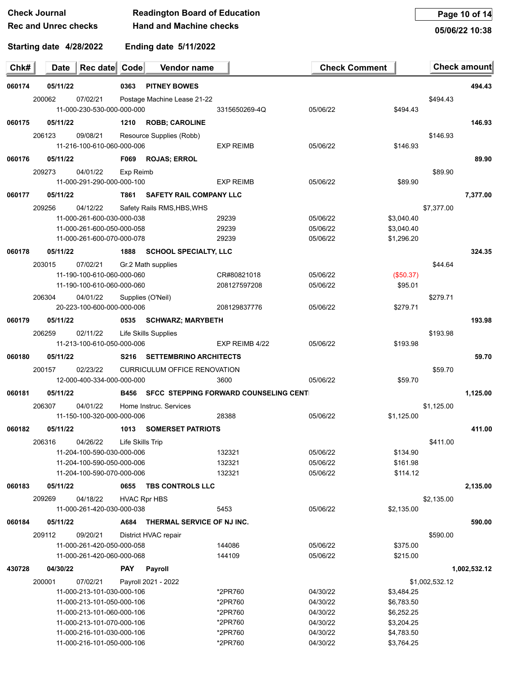**05/06/22 10:38**

**Starting date 4/28/2022**

**Ending date 5/11/2022**

|        | 200062                                       | 07/02/21                               |                  | Postage Machine Lease 21-22         |                                                   |          |            | \$494.43       |              |
|--------|----------------------------------------------|----------------------------------------|------------------|-------------------------------------|---------------------------------------------------|----------|------------|----------------|--------------|
|        |                                              | 11-000-230-530-000-000-000             |                  |                                     | 3315650269-4Q                                     | 05/06/22 | \$494.43   |                |              |
| 060175 | 05/11/22                                     |                                        |                  | 1210 ROBB; CAROLINE                 |                                                   |          |            |                | 146.93       |
|        | 206123                                       | 09/08/21                               |                  | Resource Supplies (Robb)            |                                                   |          |            | \$146.93       |              |
|        |                                              | 11-216-100-610-060-000-006             |                  |                                     | <b>EXP REIMB</b>                                  | 05/06/22 | \$146.93   |                |              |
| 060176 | 05/11/22                                     |                                        |                  | F069 ROJAS; ERROL                   |                                                   |          |            |                | 89.90        |
|        | 209273                                       | 04/01/22                               | Exp Reimb        |                                     |                                                   |          |            | \$89.90        |              |
|        |                                              | 11-000-291-290-000-000-100             |                  |                                     | <b>EXP REIMB</b>                                  | 05/06/22 | \$89.90    |                |              |
| 060177 | 05/11/22                                     |                                        |                  | <b>T861 SAFETY RAIL COMPANY LLC</b> |                                                   |          |            |                | 7,377.00     |
|        | 209256                                       | 04/12/22                               |                  | Safety Rails RMS, HBS, WHS          |                                                   |          |            | \$7,377.00     |              |
|        |                                              | 11-000-261-600-030-000-038             |                  |                                     | 29239                                             | 05/06/22 | \$3,040.40 |                |              |
|        |                                              | 11-000-261-600-050-000-058             |                  |                                     | 29239                                             | 05/06/22 | \$3,040.40 |                |              |
|        |                                              | 11-000-261-600-070-000-078             |                  |                                     | 29239                                             | 05/06/22 | \$1,296.20 |                |              |
| 060178 | 05/11/22                                     |                                        |                  | 1888 SCHOOL SPECIALTY, LLC          |                                                   |          |            |                | 324.35       |
|        | 203015                                       | 07/02/21                               |                  | Gr.2 Math supplies                  |                                                   |          |            | \$44.64        |              |
|        |                                              | 11-190-100-610-060-000-060             |                  |                                     | CR#80821018                                       | 05/06/22 | (\$50.37)  |                |              |
|        |                                              | 11-190-100-610-060-000-060             |                  |                                     | 208127597208                                      | 05/06/22 | \$95.01    |                |              |
|        | 206304                                       | 04/01/22                               |                  | Supplies (O'Neil)                   |                                                   |          |            | \$279.71       |              |
|        |                                              | 20-223-100-600-000-000-006             |                  |                                     | 208129837776                                      | 05/06/22 | \$279.71   |                |              |
| 060179 | 05/11/22                                     |                                        |                  | 0535 SCHWARZ; MARYBETH              |                                                   |          |            |                | 193.98       |
|        |                                              |                                        |                  |                                     |                                                   |          |            |                |              |
|        | 206259                                       | 02/11/22<br>11-213-100-610-050-000-006 |                  | Life Skills Supplies                | EXP REIMB 4/22                                    | 05/06/22 | \$193.98   | \$193.98       |              |
|        |                                              |                                        |                  |                                     |                                                   |          |            |                |              |
| 060180 | 05/11/22                                     |                                        |                  | S216 SETTEMBRINO ARCHITECTS         |                                                   |          |            |                | 59.70        |
|        | 200157                                       | 02/23/22                               |                  | <b>CURRICULUM OFFICE RENOVATION</b> |                                                   |          |            | \$59.70        |              |
|        |                                              | 12-000-400-334-000-000-000             |                  |                                     | 3600                                              | 05/06/22 | \$59.70    |                |              |
| 060181 | 05/11/22                                     |                                        |                  |                                     | <b>B456 SFCC STEPPING FORWARD COUNSELING CENT</b> |          |            |                | 1,125.00     |
|        | 04/01/22<br>206307<br>Home Instruc. Services |                                        |                  |                                     |                                                   |          |            | \$1,125.00     |              |
|        |                                              | 11-150-100-320-000-000-006             |                  |                                     | 28388                                             | 05/06/22 | \$1,125.00 |                |              |
| 060182 | 05/11/22                                     |                                        |                  | 1013 SOMERSET PATRIOTS              |                                                   |          |            |                | 411.00       |
|        | 206316                                       | 04/26/22                               | Life Skills Trip |                                     |                                                   |          |            | \$411.00       |              |
|        |                                              | 11-204-100-590-030-000-006             |                  |                                     | 132321                                            | 05/06/22 | \$134.90   |                |              |
|        |                                              | 11-204-100-590-050-000-006             |                  |                                     | 132321                                            | 05/06/22 | \$161.98   |                |              |
|        |                                              | 11-204-100-590-070-000-006             |                  |                                     | 132321                                            | 05/06/22 | \$114.12   |                |              |
| 060183 | 05/11/22                                     |                                        |                  | 0655 TBS CONTROLS LLC               |                                                   |          |            |                | 2,135.00     |
|        | 209269                                       | 04/18/22                               |                  | <b>HVAC Rpr HBS</b>                 |                                                   |          |            | \$2,135.00     |              |
|        |                                              | 11-000-261-420-030-000-038             |                  |                                     | 5453                                              | 05/06/22 | \$2,135.00 |                |              |
| 060184 | 05/11/22                                     |                                        |                  | A684 THERMAL SERVICE OF NJ INC.     |                                                   |          |            |                | 590.00       |
|        | 209112                                       | 09/20/21                               |                  | District HVAC repair                |                                                   |          |            | \$590.00       |              |
|        |                                              | 11-000-261-420-050-000-058             |                  |                                     | 144086                                            | 05/06/22 | \$375.00   |                |              |
|        |                                              | 11-000-261-420-060-000-068             |                  |                                     | 144109                                            | 05/06/22 | \$215.00   |                |              |
| 430728 | 04/30/22                                     |                                        | <b>PAY</b>       | Payroll                             |                                                   |          |            |                | 1,002,532.12 |
|        |                                              |                                        |                  |                                     |                                                   |          |            |                |              |
|        | 200001                                       | 07/02/21<br>11-000-213-101-030-000-106 |                  | Payroll 2021 - 2022                 | *2PR760                                           | 04/30/22 | \$3,484.25 | \$1,002,532.12 |              |
|        |                                              | 11-000-213-101-050-000-106             |                  |                                     | *2PR760                                           | 04/30/22 | \$6,783.50 |                |              |
|        |                                              | 11-000-213-101-060-000-106             |                  |                                     | *2PR760                                           | 04/30/22 | \$6,252.25 |                |              |
|        |                                              | 11-000-213-101-070-000-106             |                  |                                     | *2PR760                                           | 04/30/22 | \$3,204.25 |                |              |

11-000-216-101-030-000-106 \*2PR760 04/30/22 \$4,783.50 11-000-216-101-050-000-106 \*2PR760 04/30/22 \$3,764.25

**Chk# Date** Rec date Code Vendor name **Check Comment Check amount** 

**060174 05/11/22 0363 PITNEY BOWES 494.43**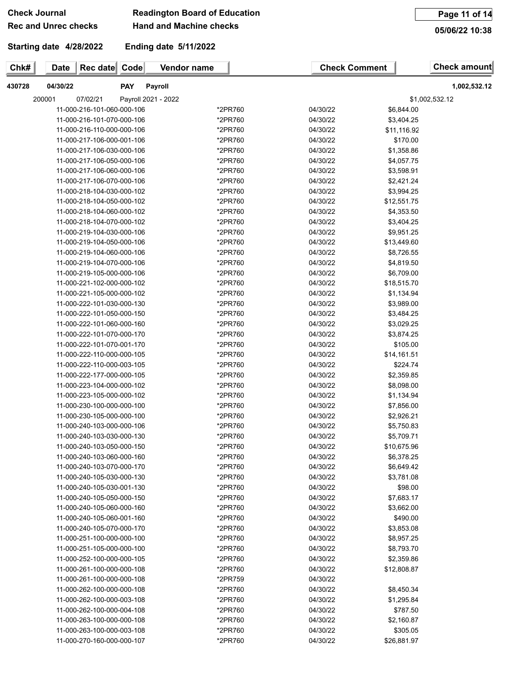# **Rec and Unrec checks**

## **Check Journal Readington Board of Education**

**Chk# Date** Rec date Code Vendor name **Check Comment Check amount** 

**Hand and Machine checks**

**Starting date 4/28/2022**

**Ending date 5/11/2022**

**05/06/22 10:38**

| 430728 | 04/30/22 |                            | <b>PAY</b> | Payroll             |         |          |                | 1,002,532.12 |
|--------|----------|----------------------------|------------|---------------------|---------|----------|----------------|--------------|
|        | 200001   | 07/02/21                   |            | Payroll 2021 - 2022 |         |          | \$1,002,532.12 |              |
|        |          | 11-000-216-101-060-000-106 |            |                     | *2PR760 | 04/30/22 | \$6,844.00     |              |
|        |          | 11-000-216-101-070-000-106 |            |                     | *2PR760 | 04/30/22 | \$3,404.25     |              |
|        |          | 11-000-216-110-000-000-106 |            |                     | *2PR760 | 04/30/22 | \$11,116.92    |              |
|        |          | 11-000-217-106-000-001-106 |            |                     | *2PR760 | 04/30/22 | \$170.00       |              |
|        |          | 11-000-217-106-030-000-106 |            |                     | *2PR760 | 04/30/22 | \$1,358.86     |              |
|        |          | 11-000-217-106-050-000-106 |            |                     | *2PR760 | 04/30/22 | \$4.057.75     |              |
|        |          | 11-000-217-106-060-000-106 |            |                     | *2PR760 | 04/30/22 | \$3,598.91     |              |
|        |          | 11-000-217-106-070-000-106 |            |                     | *2PR760 | 04/30/22 | \$2.421.24     |              |
|        |          | 11-000-218-104-030-000-102 |            |                     | *2PR760 | 04/30/22 | \$3,994.25     |              |
|        |          | 11-000-218-104-050-000-102 |            |                     | *2PR760 | 04/30/22 | \$12,551.75    |              |
|        |          | 11-000-218-104-060-000-102 |            |                     | *2PR760 | 04/30/22 | \$4.353.50     |              |

| 11-000-216-101-070-000-106 | *2PR760 | 04/30/22 | \$3,404.25  |  |
|----------------------------|---------|----------|-------------|--|
| 11-000-216-110-000-000-106 | *2PR760 | 04/30/22 | \$11,116.92 |  |
| 11-000-217-106-000-001-106 | *2PR760 | 04/30/22 | \$170.00    |  |
| 11-000-217-106-030-000-106 | *2PR760 | 04/30/22 | \$1,358.86  |  |
| 11-000-217-106-050-000-106 | *2PR760 | 04/30/22 | \$4,057.75  |  |
| 11-000-217-106-060-000-106 | *2PR760 | 04/30/22 | \$3,598.91  |  |
| 11-000-217-106-070-000-106 | *2PR760 | 04/30/22 | \$2,421.24  |  |
| 11-000-218-104-030-000-102 | *2PR760 | 04/30/22 | \$3,994.25  |  |
| 11-000-218-104-050-000-102 | *2PR760 | 04/30/22 | \$12,551.75 |  |
| 11-000-218-104-060-000-102 | *2PR760 | 04/30/22 | \$4,353.50  |  |
| 11-000-218-104-070-000-102 | *2PR760 | 04/30/22 | \$3,404.25  |  |
| 11-000-219-104-030-000-106 | *2PR760 | 04/30/22 | \$9,951.25  |  |
| 11-000-219-104-050-000-106 | *2PR760 | 04/30/22 | \$13,449.60 |  |
| 11-000-219-104-060-000-106 | *2PR760 | 04/30/22 | \$8,726.55  |  |
| 11-000-219-104-070-000-106 | *2PR760 | 04/30/22 | \$4,819.50  |  |
| 11-000-219-105-000-000-106 | *2PR760 | 04/30/22 | \$6,709.00  |  |
| 11-000-221-102-000-000-102 | *2PR760 | 04/30/22 | \$18,515.70 |  |
| 11-000-221-105-000-000-102 | *2PR760 | 04/30/22 | \$1,134.94  |  |
| 11-000-222-101-030-000-130 | *2PR760 | 04/30/22 | \$3,989.00  |  |
| 11-000-222-101-050-000-150 | *2PR760 | 04/30/22 | \$3,484.25  |  |
| 11-000-222-101-060-000-160 | *2PR760 | 04/30/22 | \$3,029.25  |  |
| 11-000-222-101-070-000-170 | *2PR760 | 04/30/22 | \$3,874.25  |  |
| 11-000-222-101-070-001-170 | *2PR760 | 04/30/22 | \$105.00    |  |
| 11-000-222-110-000-000-105 | *2PR760 | 04/30/22 | \$14,161.51 |  |
| 11-000-222-110-000-003-105 | *2PR760 | 04/30/22 | \$224.74    |  |
| 11-000-222-177-000-000-105 | *2PR760 | 04/30/22 | \$2,359.85  |  |
| 11-000-223-104-000-000-102 | *2PR760 | 04/30/22 | \$8,098.00  |  |
| 11-000-223-105-000-000-102 | *2PR760 | 04/30/22 | \$1,134.94  |  |
| 11-000-230-100-000-000-100 | *2PR760 | 04/30/22 | \$7,856.00  |  |
| 11-000-230-105-000-000-100 | *2PR760 | 04/30/22 | \$2,926.21  |  |
| 11-000-240-103-000-000-106 | *2PR760 | 04/30/22 | \$5,750.83  |  |
| 11-000-240-103-030-000-130 | *2PR760 | 04/30/22 | \$5,709.71  |  |
| 11-000-240-103-050-000-150 | *2PR760 | 04/30/22 | \$10,675.96 |  |
| 11-000-240-103-060-000-160 | *2PR760 | 04/30/22 | \$6,378.25  |  |
| 11-000-240-103-070-000-170 | *2PR760 | 04/30/22 | \$6,649.42  |  |
| 11-000-240-105-030-000-130 | *2PR760 | 04/30/22 | \$3,781.08  |  |
| 11-000-240-105-030-001-130 | *2PR760 | 04/30/22 | \$98.00     |  |
| 11-000-240-105-050-000-150 | *2PR760 | 04/30/22 | \$7,683.17  |  |
| 11-000-240-105-060-000-160 | *2PR760 | 04/30/22 | \$3,662.00  |  |
| 11-000-240-105-060-001-160 | *2PR760 | 04/30/22 | \$490.00    |  |
| 11-000-240-105-070-000-170 | *2PR760 | 04/30/22 | \$3,853.08  |  |
| 11-000-251-100-000-000-100 | *2PR760 | 04/30/22 | \$8,957.25  |  |
| 11-000-251-105-000-000-100 | *2PR760 | 04/30/22 | \$8,793.70  |  |
| 11-000-252-100-000-000-105 | *2PR760 | 04/30/22 | \$2,359.86  |  |
| 11-000-261-100-000-000-108 | *2PR760 | 04/30/22 | \$12,808.87 |  |
| 11-000-261-100-000-000-108 | *2PR759 | 04/30/22 |             |  |
| 11-000-262-100-000-000-108 | *2PR760 | 04/30/22 | \$8,450.34  |  |
| 11-000-262-100-000-003-108 | *2PR760 | 04/30/22 | \$1,295.84  |  |
| 11-000-262-100-000-004-108 | *2PR760 | 04/30/22 | \$787.50    |  |
| 11-000-263-100-000-000-108 | *2PR760 | 04/30/22 | \$2,160.87  |  |
| 11-000-263-100-000-003-108 | *2PR760 | 04/30/22 | \$305.05    |  |
| 11-000-270-160-000-000-107 | *2PR760 | 04/30/22 | \$26,881.97 |  |
|                            |         |          |             |  |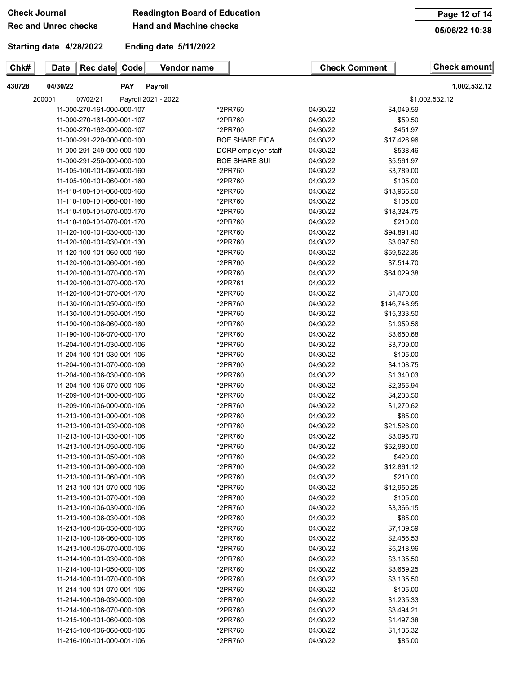# **Rec and Unrec checks**

## **Check Journal Readington Board of Education**

**Hand and Machine checks**

**Page 12 of 14**

**05/06/22 10:38**

**Starting date 4/28/2022**

**Ending date 5/11/2022**

| 430728 | 04/30/22                   | <b>PAY</b> | Payroll             |                       |          |              | 1,002,532.12   |
|--------|----------------------------|------------|---------------------|-----------------------|----------|--------------|----------------|
|        | 200001<br>07/02/21         |            | Payroll 2021 - 2022 |                       |          |              | \$1,002,532.12 |
|        | 11-000-270-161-000-000-107 |            |                     | *2PR760               | 04/30/22 | \$4,049.59   |                |
|        | 11-000-270-161-000-001-107 |            |                     | *2PR760               | 04/30/22 | \$59.50      |                |
|        | 11-000-270-162-000-000-107 |            |                     | *2PR760               | 04/30/22 | \$451.97     |                |
|        | 11-000-291-220-000-000-100 |            |                     | <b>BOE SHARE FICA</b> | 04/30/22 | \$17,426.96  |                |
|        | 11-000-291-249-000-000-100 |            |                     | DCRP employer-staff   | 04/30/22 | \$538.46     |                |
|        | 11-000-291-250-000-000-100 |            |                     | <b>BOE SHARE SUI</b>  | 04/30/22 | \$5,561.97   |                |
|        | 11-105-100-101-060-000-160 |            |                     | *2PR760               | 04/30/22 | \$3,789.00   |                |
|        | 11-105-100-101-060-001-160 |            |                     | *2PR760               | 04/30/22 | \$105.00     |                |
|        | 11-110-100-101-060-000-160 |            |                     | *2PR760               | 04/30/22 | \$13,966.50  |                |
|        | 11-110-100-101-060-001-160 |            |                     | *2PR760               | 04/30/22 | \$105.00     |                |
|        | 11-110-100-101-070-000-170 |            |                     | *2PR760               | 04/30/22 | \$18,324.75  |                |
|        | 11-110-100-101-070-001-170 |            |                     | *2PR760               | 04/30/22 | \$210.00     |                |
|        | 11-120-100-101-030-000-130 |            |                     | *2PR760               | 04/30/22 | \$94,891.40  |                |
|        | 11-120-100-101-030-001-130 |            |                     | *2PR760               | 04/30/22 | \$3,097.50   |                |
|        | 11-120-100-101-060-000-160 |            |                     | *2PR760               | 04/30/22 | \$59,522.35  |                |
|        | 11-120-100-101-060-001-160 |            |                     | *2PR760               | 04/30/22 | \$7,514.70   |                |
|        | 11-120-100-101-070-000-170 |            |                     | *2PR760               | 04/30/22 | \$64,029.38  |                |
|        | 11-120-100-101-070-000-170 |            |                     | *2PR761               | 04/30/22 |              |                |
|        | 11-120-100-101-070-001-170 |            |                     | *2PR760               | 04/30/22 | \$1,470.00   |                |
|        | 11-130-100-101-050-000-150 |            |                     | *2PR760               | 04/30/22 | \$146,748.95 |                |
|        | 11-130-100-101-050-001-150 |            |                     | *2PR760               | 04/30/22 | \$15,333.50  |                |
|        | 11-190-100-106-060-000-160 |            |                     | *2PR760               | 04/30/22 | \$1,959.56   |                |
|        | 11-190-100-106-070-000-170 |            |                     | *2PR760               | 04/30/22 | \$3,650.68   |                |
|        | 11-204-100-101-030-000-106 |            |                     | *2PR760               | 04/30/22 | \$3,709.00   |                |
|        | 11-204-100-101-030-001-106 |            |                     | *2PR760               | 04/30/22 | \$105.00     |                |
|        | 11-204-100-101-070-000-106 |            |                     | *2PR760               | 04/30/22 | \$4,108.75   |                |
|        | 11-204-100-106-030-000-106 |            |                     | *2PR760               | 04/30/22 | \$1,340.03   |                |
|        | 11-204-100-106-070-000-106 |            |                     | *2PR760               | 04/30/22 | \$2,355.94   |                |
|        | 11-209-100-101-000-000-106 |            |                     | *2PR760               | 04/30/22 | \$4,233.50   |                |
|        | 11-209-100-106-000-000-106 |            |                     | *2PR760               | 04/30/22 | \$1,270.62   |                |
|        | 11-213-100-101-000-001-106 |            |                     | *2PR760               | 04/30/22 | \$85.00      |                |
|        | 11-213-100-101-030-000-106 |            |                     | *2PR760               | 04/30/22 | \$21,526.00  |                |
|        | 11-213-100-101-030-001-106 |            |                     | *2PR760               | 04/30/22 | \$3,098.70   |                |
|        | 11-213-100-101-050-000-106 |            |                     | *2PR760               | 04/30/22 | \$52,980.00  |                |
|        | 11-213-100-101-050-001-106 |            |                     | *2PR760               | 04/30/22 | \$420.00     |                |
|        | 11-213-100-101-060-000-106 |            |                     | *2PR760               | 04/30/22 | \$12,861.12  |                |
|        | 11-213-100-101-060-001-106 |            |                     | *2PR760               | 04/30/22 | \$210.00     |                |
|        | 11-213-100-101-070-000-106 |            |                     | *2PR760               | 04/30/22 | \$12,950.25  |                |
|        | 11-213-100-101-070-001-106 |            |                     | *2PR760               | 04/30/22 | \$105.00     |                |
|        | 11-213-100-106-030-000-106 |            |                     | *2PR760               | 04/30/22 | \$3,366.15   |                |
|        | 11-213-100-106-030-001-106 |            |                     | *2PR760               | 04/30/22 | \$85.00      |                |
|        | 11-213-100-106-050-000-106 |            |                     | *2PR760               | 04/30/22 | \$7,139.59   |                |
|        | 11-213-100-106-060-000-106 |            |                     | *2PR760               | 04/30/22 | \$2,456.53   |                |
|        | 11-213-100-106-070-000-106 |            |                     | *2PR760               | 04/30/22 | \$5,218.96   |                |
|        | 11-214-100-101-030-000-106 |            |                     | *2PR760               | 04/30/22 | \$3,135.50   |                |
|        | 11-214-100-101-050-000-106 |            |                     | *2PR760               | 04/30/22 | \$3,659.25   |                |
|        | 11-214-100-101-070-000-106 |            |                     | *2PR760               | 04/30/22 | \$3,135.50   |                |
|        | 11-214-100-101-070-001-106 |            |                     | *2PR760               | 04/30/22 | \$105.00     |                |
|        | 11-214-100-106-030-000-106 |            |                     | *2PR760               | 04/30/22 | \$1,235.33   |                |
|        | 11-214-100-106-070-000-106 |            |                     | *2PR760               | 04/30/22 | \$3,494.21   |                |
|        | 11-215-100-101-060-000-106 |            |                     | *2PR760               | 04/30/22 | \$1,497.38   |                |
|        | 11-215-100-106-060-000-106 |            |                     | *2PR760               | 04/30/22 | \$1,135.32   |                |
|        | 11-216-100-101-000-001-106 |            |                     | *2PR760               | 04/30/22 | \$85.00      |                |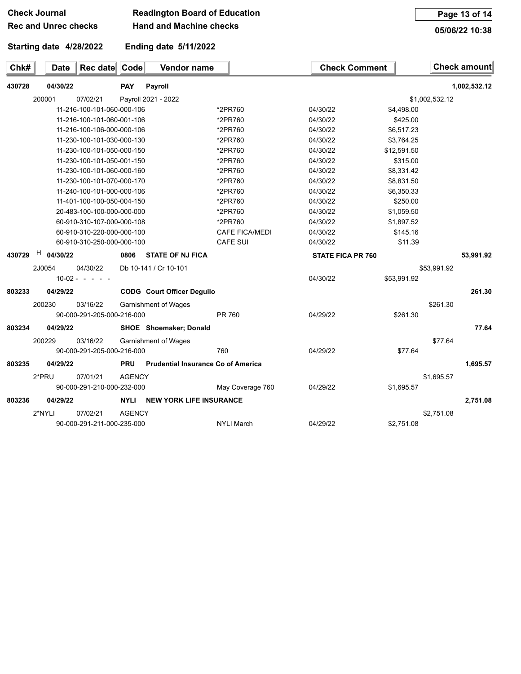| <b>Check Journal</b>        | <b>Readington Board of Education</b> |
|-----------------------------|--------------------------------------|
| <b>Rec and Unrec checks</b> | <b>Hand and Machine checks</b>       |

**Page 13 of 14**

**05/06/22 10:38**

## **Starting date 4/28/2022**

**Ending date 5/11/2022**

| Chk#   | <b>Date</b><br>Rec date                   | Code<br>Vendor name               |                       | <b>Check Comment</b>     |             | Check amount   |
|--------|-------------------------------------------|-----------------------------------|-----------------------|--------------------------|-------------|----------------|
| 430728 | 04/30/22                                  | <b>PAY</b><br>Payroll             |                       |                          |             | 1,002,532.12   |
|        | 200001<br>07/02/21                        | Payroll 2021 - 2022               |                       |                          |             | \$1,002,532.12 |
|        |                                           | 11-216-100-101-060-000-106        | *2PR760               | 04/30/22                 | \$4,498.00  |                |
|        |                                           | 11-216-100-101-060-001-106        | *2PR760               | 04/30/22                 | \$425.00    |                |
|        |                                           | 11-216-100-106-000-000-106        | *2PR760               | 04/30/22                 | \$6,517.23  |                |
|        |                                           | 11-230-100-101-030-000-130        | *2PR760               | 04/30/22                 | \$3,764.25  |                |
|        |                                           | 11-230-100-101-050-000-150        | *2PR760               | 04/30/22                 | \$12,591.50 |                |
|        |                                           | 11-230-100-101-050-001-150        | *2PR760               | 04/30/22                 | \$315.00    |                |
|        |                                           | 11-230-100-101-060-000-160        | *2PR760               | 04/30/22                 | \$8,331.42  |                |
|        |                                           | 11-230-100-101-070-000-170        | *2PR760               | 04/30/22                 | \$8,831.50  |                |
|        |                                           | 11-240-100-101-000-000-106        | *2PR760               | 04/30/22                 | \$6,350.33  |                |
|        |                                           | 11-401-100-100-050-004-150        | *2PR760               | 04/30/22                 | \$250.00    |                |
|        |                                           | 20-483-100-100-000-000-000        | *2PR760               | 04/30/22                 | \$1,059.50  |                |
|        |                                           | 60-910-310-107-000-000-108        | *2PR760               | 04/30/22                 | \$1,897.52  |                |
|        |                                           | 60-910-310-220-000-000-100        | <b>CAFE FICA/MEDI</b> | 04/30/22                 | \$145.16    |                |
|        |                                           | 60-910-310-250-000-000-100        | <b>CAFE SUI</b>       | 04/30/22                 | \$11.39     |                |
| 430729 | H<br>04/30/22                             | <b>STATE OF NJ FICA</b><br>0806   |                       | <b>STATE FICA PR 760</b> |             | 53,991.92      |
|        | 2J0054<br>04/30/22                        | Db 10-141 / Cr 10-101             |                       |                          |             | \$53,991.92    |
|        | $10-02 -$<br>$\sim$ 100 $\sim$ 100 $\sim$ |                                   |                       | 04/30/22                 | \$53,991.92 |                |
| 803233 | 04/29/22                                  | <b>CODG</b> Court Officer Deguilo |                       |                          |             | 261.30         |
|        | 200230<br>03/16/22                        | <b>Garnishment of Wages</b>       |                       |                          |             | \$261.30       |
|        | 90-000-291-205-000-216-000                |                                   | PR 760                | 04/29/22                 | \$261.30    |                |
| 803234 | 04/29/22                                  | <b>SHOE</b> Shoemaker; Donald     |                       |                          |             | 77.64          |
|        |                                           |                                   |                       |                          |             |                |

200229 03/16/22 Garnishment of Wages \$77.64 90-000-291-205-000-216-000 760 04/29/22 \$77.64

**803235 04/29/22 PRU Prudential Insurance Co of America 1,695.57** 2\*PRU 07/01/21 AGENCY \$1,695.57 90-000-291-210-000-232-000 May Coverage 760 04/29/22 \$1,695.57

**803236 04/29/22 NYLI NEW YORK LIFE INSURANCE 2,751.08** 2\*NYLI 07/02/21 AGENCY \$2,751.08 90-000-291-211-000-235-000 NYLI March 04/29/22 \$2,751.08